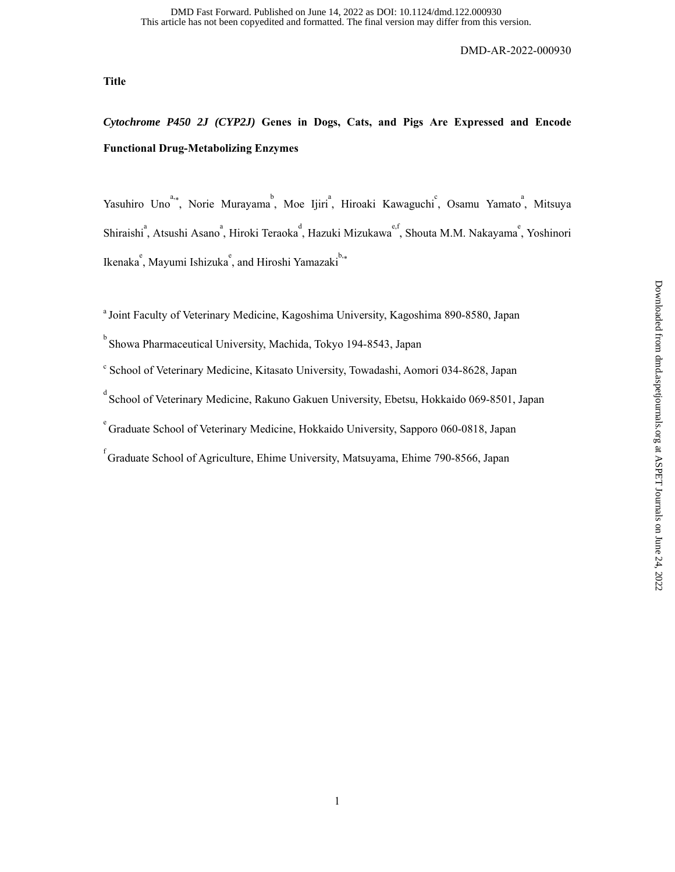**Title** 

# *Cytochrome P450 2J (CYP2J)* **Genes in Dogs, Cats, and Pigs Are Expressed and Encode Functional Drug-Metabolizing Enzymes**

Yasuhiro Uno<sup>a,\*</sup>, Norie Murayama<sup>b</sup>, Moe Ijiri<sup>a</sup>, Hiroaki Kawaguchi<sup>c</sup>, Osamu Yamato<sup>a</sup>, Mitsuya Shiraishi<sup>a</sup>, Atsushi Asano<sup>a</sup>, Hiroki Teraoka<sup>d</sup>, Hazuki Mizukawa<sup>e,f</sup>, Shouta M.M. Nakayama<sup>e</sup>, Yoshinori Ikenaka<sup>e</sup>, Mayumi Ishizuka<sup>e</sup>, and Hiroshi Yamazaki<sup>b,\*</sup>

<sup>a</sup> Joint Faculty of Veterinary Medicine, Kagoshima University, Kagoshima 890-8580, Japan

- <sup>b</sup> Showa Pharmaceutical University, Machida, Tokyo 194-8543, Japan
- c School of Veterinary Medicine, Kitasato University, Towadashi, Aomori 034-8628, Japan
- d<br>School of Veterinary Medicine, Rakuno Gakuen University, Ebetsu, Hokkaido 069-8501, Japan
- <sup>e</sup> Graduate School of Veterinary Medicine, Hokkaido University, Sapporo 060-0818, Japan

f<br>Graduate School of Agriculture, Ehime University, Matsuyama, Ehime 790-8566, Japan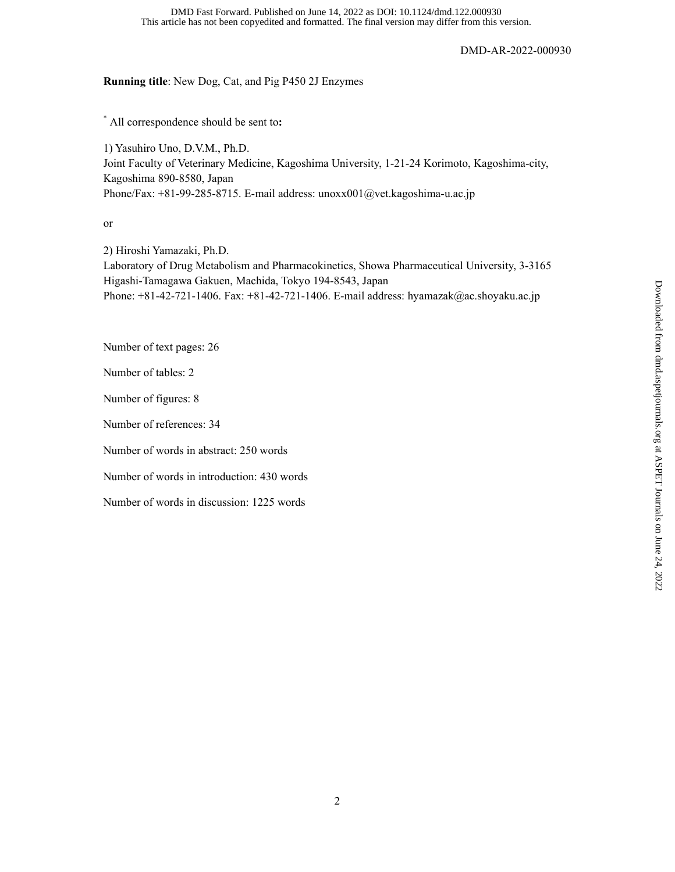This article has not been copyedited and formatted. The final version may differ from this version. DMD Fast Forward. Published on June 14, 2022 as DOI: 10.1124/dmd.122.000930

DMD-AR-2022-000930

## **Running title**: New Dog, Cat, and Pig P450 2J Enzymes

\* All correspondence should be sent to**:**

1) Yasuhiro Uno, D.V.M., Ph.D. Joint Faculty of Veterinary Medicine, Kagoshima University, 1-21-24 Korimoto, Kagoshima-city, Kagoshima 890-8580, Japan Phone/Fax: +81-99-285-8715. E-mail address: unoxx001@vet.kagoshima-u.ac.jp

or

2) Hiroshi Yamazaki, Ph.D. Laboratory of Drug Metabolism and Pharmacokinetics, Showa Pharmaceutical University, 3-3165 Higashi-Tamagawa Gakuen, Machida, Tokyo 194-8543, Japan Phone: +81-42-721-1406. Fax: +81-42-721-1406. E-mail address: hyamazak@ac.shoyaku.ac.jp

Number of text pages: 26

Number of tables: 2

Number of figures: 8

Number of references: 34

Number of words in abstract: 250 words

Number of words in introduction: 430 words

Number of words in discussion: 1225 words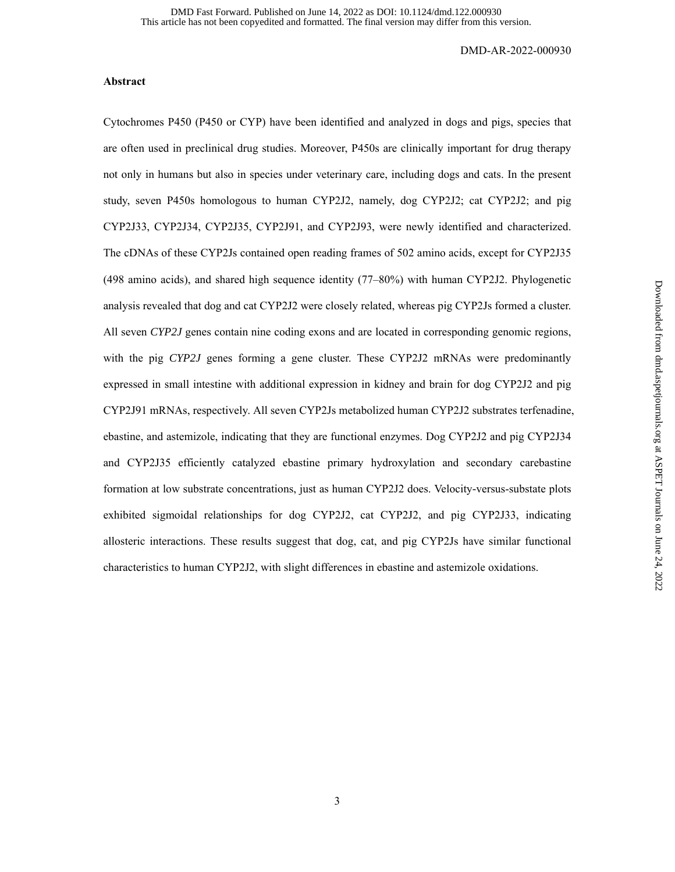### **Abstract**

Cytochromes P450 (P450 or CYP) have been identified and analyzed in dogs and pigs, species that are often used in preclinical drug studies. Moreover, P450s are clinically important for drug therapy not only in humans but also in species under veterinary care, including dogs and cats. In the present study, seven P450s homologous to human CYP2J2, namely, dog CYP2J2; cat CYP2J2; and pig CYP2J33, CYP2J34, CYP2J35, CYP2J91, and CYP2J93, were newly identified and characterized. The cDNAs of these CYP2Js contained open reading frames of 502 amino acids, except for CYP2J35 (498 amino acids), and shared high sequence identity (77–80%) with human CYP2J2. Phylogenetic analysis revealed that dog and cat CYP2J2 were closely related, whereas pig CYP2Js formed a cluster. All seven *CYP2J* genes contain nine coding exons and are located in corresponding genomic regions, with the pig *CYP2J* genes forming a gene cluster. These CYP2J2 mRNAs were predominantly expressed in small intestine with additional expression in kidney and brain for dog CYP2J2 and pig CYP2J91 mRNAs, respectively. All seven CYP2Js metabolized human CYP2J2 substrates terfenadine, ebastine, and astemizole, indicating that they are functional enzymes. Dog CYP2J2 and pig CYP2J34 and CYP2J35 efficiently catalyzed ebastine primary hydroxylation and secondary carebastine formation at low substrate concentrations, just as human CYP2J2 does. Velocity*-*versus-substate plots exhibited sigmoidal relationships for dog CYP2J2, cat CYP2J2, and pig CYP2J33, indicating allosteric interactions. These results suggest that dog, cat, and pig CYP2Js have similar functional characteristics to human CYP2J2, with slight differences in ebastine and astemizole oxidations.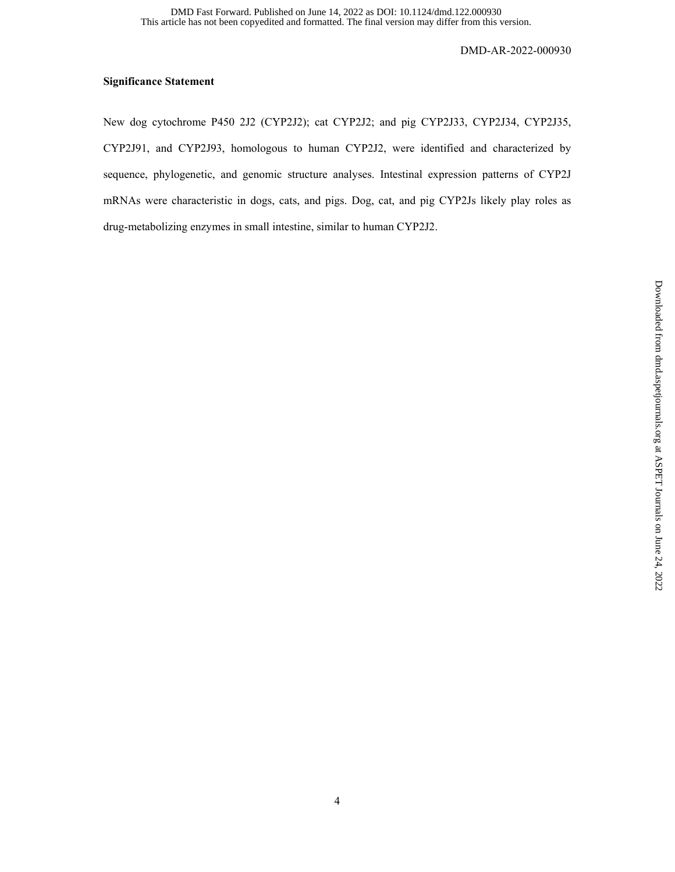## **Significance Statement**

New dog cytochrome P450 2J2 (CYP2J2); cat CYP2J2; and pig CYP2J33, CYP2J34, CYP2J35, CYP2J91, and CYP2J93, homologous to human CYP2J2, were identified and characterized by sequence, phylogenetic, and genomic structure analyses. Intestinal expression patterns of CYP2J mRNAs were characteristic in dogs, cats, and pigs. Dog, cat, and pig CYP2Js likely play roles as drug-metabolizing enzymes in small intestine, similar to human CYP2J2.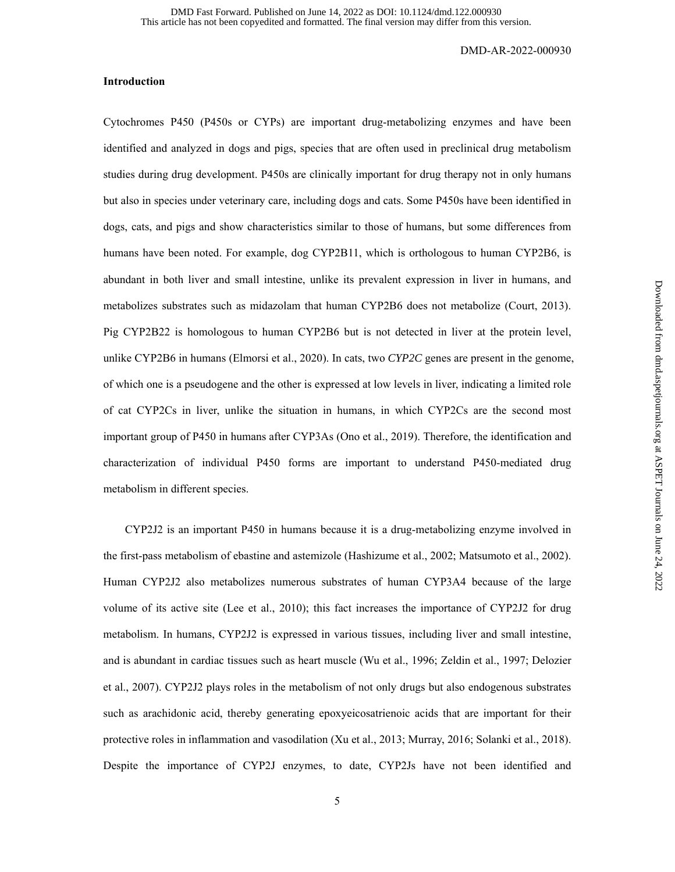### **Introduction**

Cytochromes P450 (P450s or CYPs) are important drug-metabolizing enzymes and have been identified and analyzed in dogs and pigs, species that are often used in preclinical drug metabolism studies during drug development. P450s are clinically important for drug therapy not in only humans but also in species under veterinary care, including dogs and cats. Some P450s have been identified in dogs, cats, and pigs and show characteristics similar to those of humans, but some differences from humans have been noted. For example, dog CYP2B11, which is orthologous to human CYP2B6, is abundant in both liver and small intestine, unlike its prevalent expression in liver in humans, and metabolizes substrates such as midazolam that human CYP2B6 does not metabolize (Court, 2013). Pig CYP2B22 is homologous to human CYP2B6 but is not detected in liver at the protein level, unlike CYP2B6 in humans (Elmorsi et al., 2020). In cats, two *CYP2C* genes are present in the genome, of which one is a pseudogene and the other is expressed at low levels in liver, indicating a limited role of cat CYP2Cs in liver, unlike the situation in humans, in which CYP2Cs are the second most important group of P450 in humans after CYP3As (Ono et al., 2019). Therefore, the identification and characterization of individual P450 forms are important to understand P450-mediated drug metabolism in different species.

CYP2J2 is an important P450 in humans because it is a drug-metabolizing enzyme involved in the first-pass metabolism of ebastine and astemizole (Hashizume et al., 2002; Matsumoto et al., 2002). Human CYP2J2 also metabolizes numerous substrates of human CYP3A4 because of the large volume of its active site (Lee et al., 2010); this fact increases the importance of CYP2J2 for drug metabolism. In humans, CYP2J2 is expressed in various tissues, including liver and small intestine, and is abundant in cardiac tissues such as heart muscle (Wu et al., 1996; Zeldin et al., 1997; Delozier et al., 2007). CYP2J2 plays roles in the metabolism of not only drugs but also endogenous substrates such as arachidonic acid, thereby generating epoxyeicosatrienoic acids that are important for their protective roles in inflammation and vasodilation (Xu et al., 2013; Murray, 2016; Solanki et al., 2018). Despite the importance of CYP2J enzymes, to date, CYP2Js have not been identified and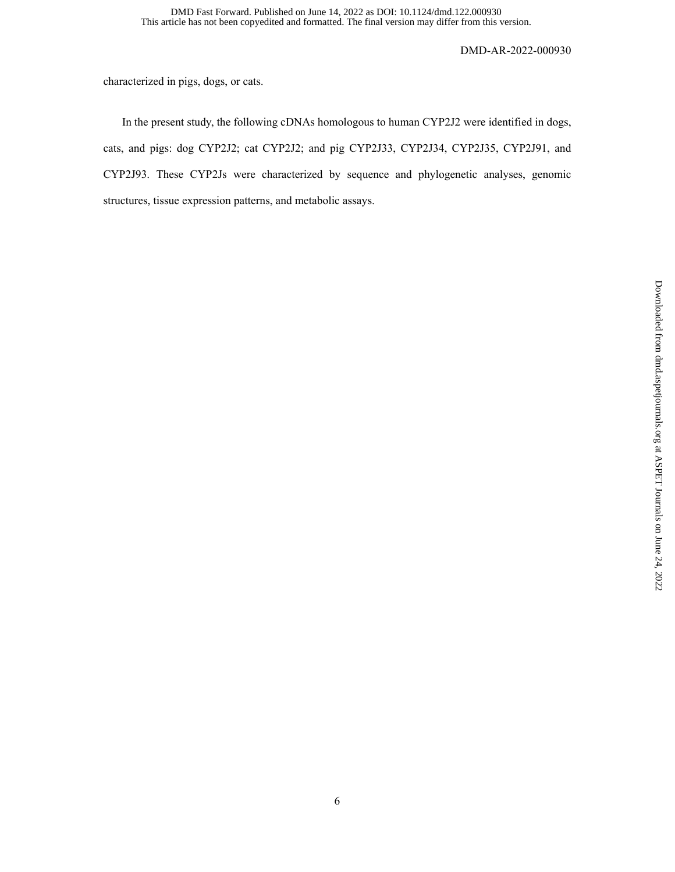characterized in pigs, dogs, or cats.

 In the present study, the following cDNAs homologous to human CYP2J2 were identified in dogs, cats, and pigs: dog CYP2J2; cat CYP2J2; and pig CYP2J33, CYP2J34, CYP2J35, CYP2J91, and CYP2J93. These CYP2Js were characterized by sequence and phylogenetic analyses, genomic structures, tissue expression patterns, and metabolic assays.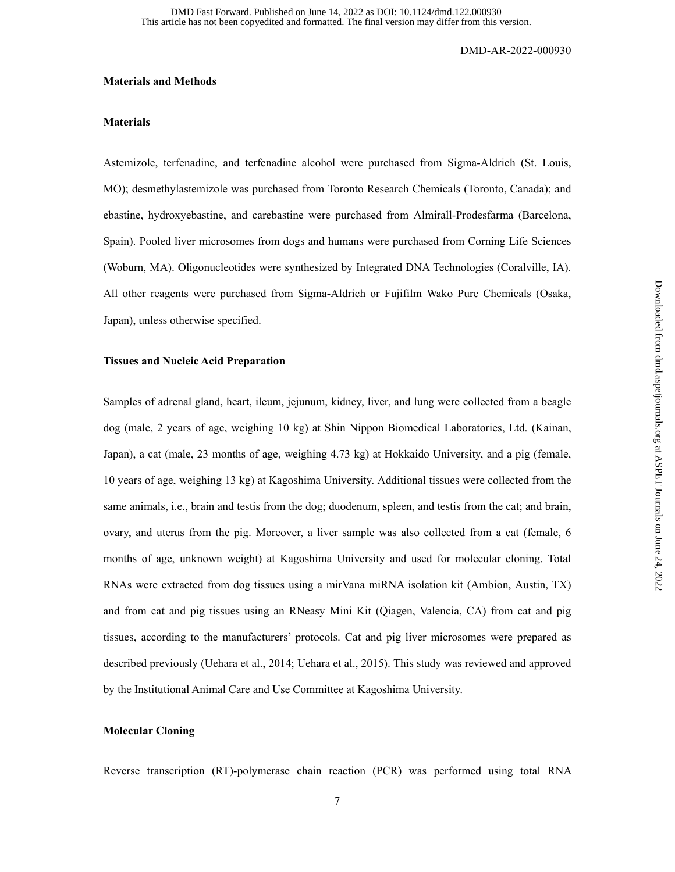#### **Materials and Methods**

#### **Materials**

Astemizole, terfenadine, and terfenadine alcohol were purchased from Sigma-Aldrich (St. Louis, MO); desmethylastemizole was purchased from Toronto Research Chemicals (Toronto, Canada); and ebastine, hydroxyebastine, and carebastine were purchased from Almirall-Prodesfarma (Barcelona, Spain). Pooled liver microsomes from dogs and humans were purchased from Corning Life Sciences (Woburn, MA). Oligonucleotides were synthesized by Integrated DNA Technologies (Coralville, IA). All other reagents were purchased from Sigma-Aldrich or Fujifilm Wako Pure Chemicals (Osaka, Japan), unless otherwise specified.

### **Tissues and Nucleic Acid Preparation**

Samples of adrenal gland, heart, ileum, jejunum, kidney, liver, and lung were collected from a beagle dog (male, 2 years of age, weighing 10 kg) at Shin Nippon Biomedical Laboratories, Ltd. (Kainan, Japan), a cat (male, 23 months of age, weighing 4.73 kg) at Hokkaido University, and a pig (female, 10 years of age, weighing 13 kg) at Kagoshima University. Additional tissues were collected from the same animals, i.e., brain and testis from the dog; duodenum, spleen, and testis from the cat; and brain, ovary, and uterus from the pig. Moreover, a liver sample was also collected from a cat (female, 6 months of age, unknown weight) at Kagoshima University and used for molecular cloning. Total RNAs were extracted from dog tissues using a mirVana miRNA isolation kit (Ambion, Austin, TX) and from cat and pig tissues using an RNeasy Mini Kit (Qiagen, Valencia, CA) from cat and pig tissues, according to the manufacturers' protocols. Cat and pig liver microsomes were prepared as described previously (Uehara et al., 2014; Uehara et al., 2015). This study was reviewed and approved by the Institutional Animal Care and Use Committee at Kagoshima University.

## **Molecular Cloning**

Reverse transcription (RT)-polymerase chain reaction (PCR) was performed using total RNA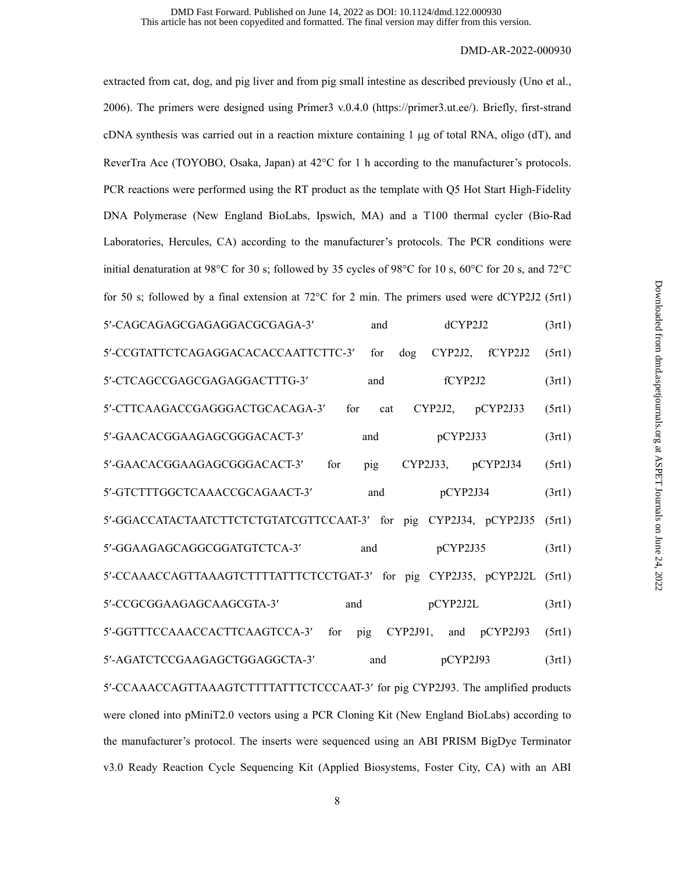extracted from cat, dog, and pig liver and from pig small intestine as described previously (Uno et al., 2006). The primers were designed using Primer3 v.0.4.0 (https://primer3.ut.ee/). Briefly, first-strand cDNA synthesis was carried out in a reaction mixture containing  $1 \mu$ g of total RNA, oligo (dT), and ReverTra Ace (TOYOBO, Osaka, Japan) at  $42^{\circ}$ C for 1 h according to the manufacturer's protocols. PCR reactions were performed using the RT product as the template with Q5 Hot Start High-Fidelity DNA Polymerase (New England BioLabs, Ipswich, MA) and a T100 thermal cycler (Bio-Rad Laboratories, Hercules, CA) according to the manufacturer's protocols. The PCR conditions were initial denaturation at 98°C for 30 s; followed by 35 cycles of 98°C for 10 s, 60°C for 20 s, and 72°C for 50 s; followed by a final extension at 72 $^{\circ}$ C for 2 min. The primers used were dCYP2J2 (5rt1) 5'-CAGCAGAGGAGGAGGACGGAGA-3' and dCYP2J2 (3rt1) 5-CCGTATTCTCAGAGGACACACCAATTCTTC-3 for dog CYP2J2, fCYP2J2 (5rt1) 5'-CTCAGCCGAGCGAGGAGGACTTTG-3' and fCYP2J2 (3rt1) 5-CTTCAAGACCGAGGGACTGCACAGA-3 for cat CYP2J2, pCYP2J33 (5rt1) 5'-GAACACGGAAGAGCGGGACACT-3' and pCYP2J33 (3rt1) 5-GAACACGGAAGAGCGGGACACT-3 for pig CYP2J33, pCYP2J34 (5rt1) 5'-GTCTTTGGCTCAAACCGCAGAACT-3' and pCYP2J34 (3rt1) 5-GGACCATACTAATCTTCTCTGTATCGTTCCAAT-3 for pig CYP2J34, pCYP2J35 (5rt1) 5'-GGAAGAGCAGGCGGATGTCTCA-3' and pCYP2J35 (3rt1) 5'-CCAAACCAGTTAAAGTCTTTTATTTCTCCTGAT-3' for pig CYP2J35, pCYP2J2L (5rt1) 5'-CCGCGGAAGAGCAAGCGTA-3' and pCYP2J2L (3rt1) 5-GGTTTCCAAACCACTTCAAGTCCA-3 for pig CYP2J91, and pCYP2J93 (5rt1) 5'-AGATCTCCGAAGAGCTGGAGGCTA-3' and pCYP2J93 (3rt1) 5'-CCAAACCAGTTAAAGTCTTTTATTTCTCCCAAT-3' for pig CYP2J93. The amplified products were cloned into pMiniT2.0 vectors using a PCR Cloning Kit (New England BioLabs) according to the manufacturer's protocol. The inserts were sequenced using an ABI PRISM BigDye Terminator v3.0 Ready Reaction Cycle Sequencing Kit (Applied Biosystems, Foster City, CA) with an ABI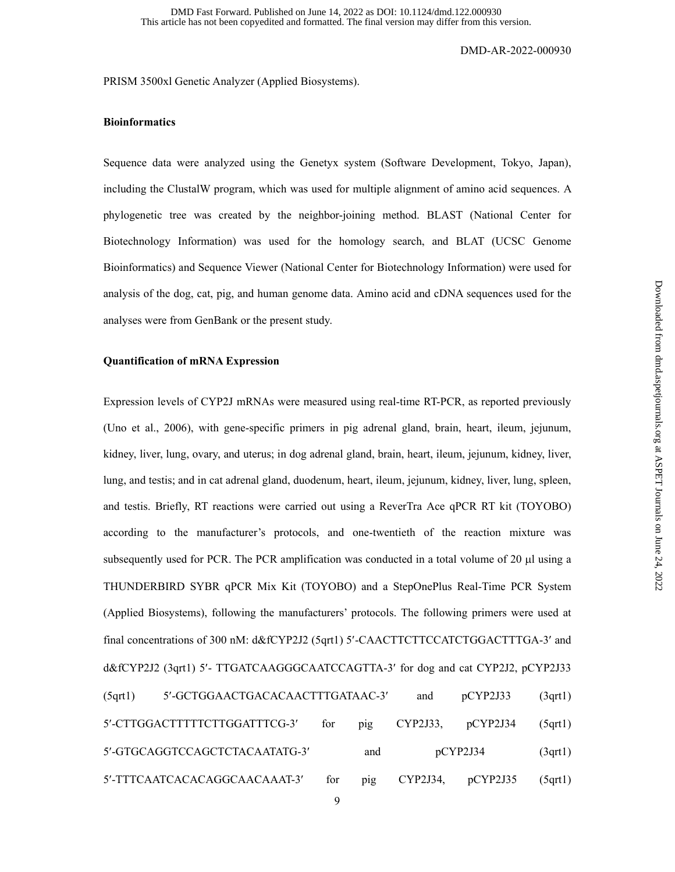PRISM 3500xl Genetic Analyzer (Applied Biosystems).

## **Bioinformatics**

Sequence data were analyzed using the Genetyx system (Software Development, Tokyo, Japan), including the ClustalW program, which was used for multiple alignment of amino acid sequences. A phylogenetic tree was created by the neighbor-joining method. BLAST (National Center for Biotechnology Information) was used for the homology search, and BLAT (UCSC Genome Bioinformatics) and Sequence Viewer (National Center for Biotechnology Information) were used for analysis of the dog, cat, pig, and human genome data. Amino acid and cDNA sequences used for the analyses were from GenBank or the present study.

## **Quantification of mRNA Expression**

Expression levels of CYP2J mRNAs were measured using real-time RT-PCR, as reported previously (Uno et al., 2006), with gene-specific primers in pig adrenal gland, brain, heart, ileum, jejunum, kidney, liver, lung, ovary, and uterus; in dog adrenal gland, brain, heart, ileum, jejunum, kidney, liver, lung, and testis; and in cat adrenal gland, duodenum, heart, ileum, jejunum, kidney, liver, lung, spleen, and testis. Briefly, RT reactions were carried out using a ReverTra Ace qPCR RT kit (TOYOBO) according to the manufacturer's protocols, and one-twentieth of the reaction mixture was subsequently used for PCR. The PCR amplification was conducted in a total volume of 20 µl using a THUNDERBIRD SYBR qPCR Mix Kit (TOYOBO) and a StepOnePlus Real-Time PCR System (Applied Biosystems), following the manufacturers' protocols. The following primers were used at final concentrations of 300 nM: d&fCYP2J2 (5qrt1) 5'-CAACTTCTTCCATCTGGACTTTGA-3' and d&fCYP2J2 (3qrt1) 5'- TTGATCAAGGGCAATCCAGTTA-3' for dog and cat CYP2J2, pCYP2J33 (5qrt1) 5-GCTGGAACTGACACAACTTTGATAAC-3 and pCYP2J33 (3qrt1) 5-CTTGGACTTTTTCTTGGATTTCG-3 for pig CYP2J33, pCYP2J34 (5qrt1) 5-GTGCAGGTCCAGCTCTACAATATG-3 and pCYP2J34 (3qrt1) 5-TTTCAATCACACAGGCAACAAAT-3 for pig CYP2J34, pCYP2J35 (5qrt1)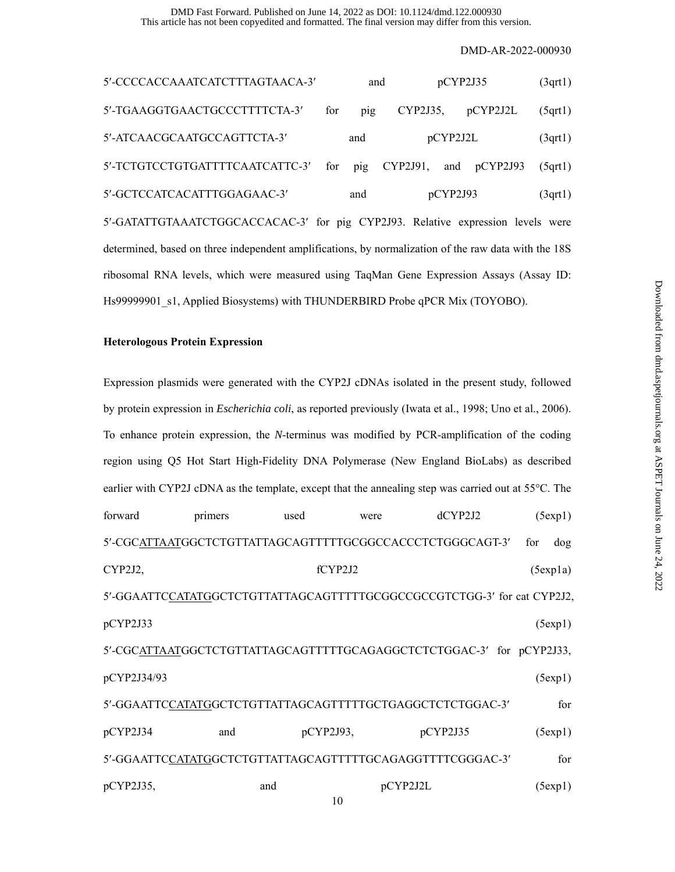This article has not been copyedited and formatted. The final version may differ from this version. DMD Fast Forward. Published on June 14, 2022 as DOI: 10.1124/dmd.122.000930

DMD-AR-2022-000930

| 5'-CCCCACCAAATCATCTTTAGTAACA-3'                                                                      |     | pCYP2J35<br>and |             |          | (3qrt)          |        |  |  |
|------------------------------------------------------------------------------------------------------|-----|-----------------|-------------|----------|-----------------|--------|--|--|
| 5'-TGAAGGTGAACTGCCCTTTTCTA-3'                                                                        | for | pig             | $CYP2J35$ , |          | pCYP2J2L        | (5qrt) |  |  |
| 5'-ATCAACGCAATGCCAGTTCTA-3'                                                                          |     | and             |             | pCYP2J2L |                 | (3qrt) |  |  |
| 5'-TCTGTCCTGTGATTTTCAATCATTC-3'                                                                      | for | pig             | CYP2J91,    |          | and $p$ CYP2J93 | (5qrt) |  |  |
| 5'-GCTCCATCACATTTGGAGAAC-3'                                                                          |     | and             |             | pCYP2J93 |                 | (3qrt) |  |  |
| 5'-GATATTGTAAATCTGGCACCACAC-3' for pig CYP2J93. Relative expression levels were                      |     |                 |             |          |                 |        |  |  |
| determined, based on three independent amplifications, by normalization of the raw data with the 18S |     |                 |             |          |                 |        |  |  |
| ribosomal RNA levels, which were measured using TaqMan Gene Expression Assays (Assay ID:             |     |                 |             |          |                 |        |  |  |
| Hs99999901 s1, Applied Biosystems) with THUNDERBIRD Probe qPCR Mix (TOYOBO).                         |     |                 |             |          |                 |        |  |  |

### **Heterologous Protein Expression**

Expression plasmids were generated with the CYP2J cDNAs isolated in the present study, followed by protein expression in *Escherichia coli*, as reported previously (Iwata et al., 1998; Uno et al., 2006). To enhance protein expression, the *N*-terminus was modified by PCR-amplification of the coding region using Q5 Hot Start High-Fidelity DNA Polymerase (New England BioLabs) as described earlier with CYP2J cDNA as the template, except that the annealing step was carried out at  $55^{\circ}$ C. The forward primers used were dCYP2J2 (5exp1) 5'-CGCATTAATGGCTCTGTTATTAGCAGTTTTTGCGGCCACCCTCTGGGCAGT-3' for dog CYP2J2, (5exp1a) fCYP2J2 (5exp1a) 5'-GGAATTCCATATGGCTCTGTTATTAGCAGTTTTTGCGGCCGCCGTCTGG-3' for cat CYP2J2, pCYP2J33 (5exp1) 5'-CGCATTAATGGCTCTGTTATTAGCAGTTTTTGCAGAGGCTCTCTGGAC-3' for pCYP2J33, pCYP2J34/93 (5exp1) 5-GGAATTCCATATGGCTCTGTTATTAGCAGTTTTTGCTGAGGCTCTCTGGAC-3 for pCYP2J34 and pCYP2J93, pCYP2J35 (5exp1) 5'-GGAATTCCATATGGCTCTGTTATTAGCAGTTTTTGCAGAGGTTTTCGGGAC-3' for pCYP2J35, and pCYP2J2L (5exp1)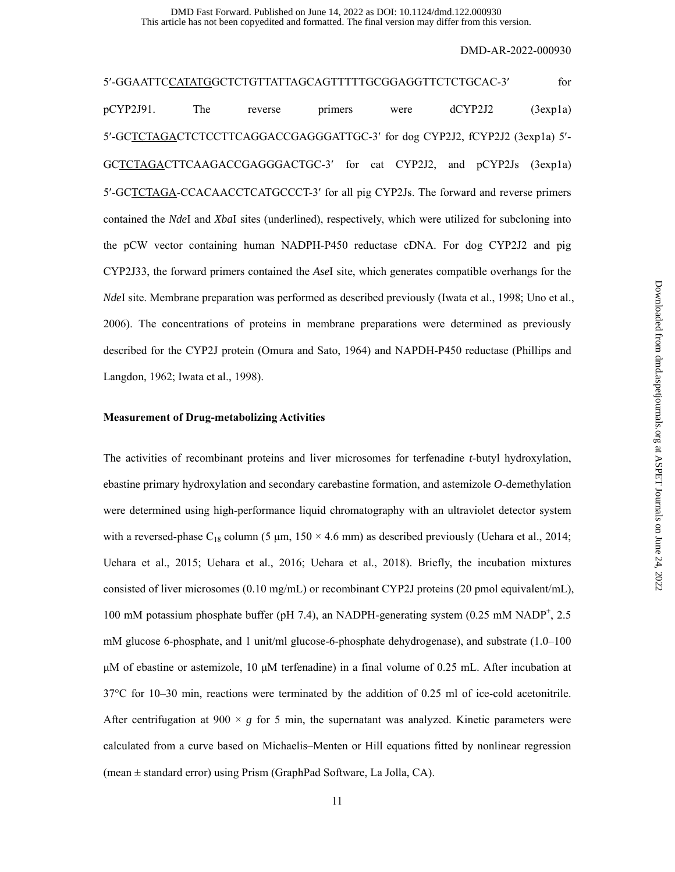This article has not been copyedited and formatted. The final version may differ from this version. DMD Fast Forward. Published on June 14, 2022 as DOI: 10.1124/dmd.122.000930

DMD-AR-2022-000930

5'-GGAATTCCATATGGCTCTGTTATTAGCAGTTTTTGCGGAGGTTCTCTGCAC-3' for pCYP2J91. The reverse primers were dCYP2J2 (3exp1a) 5'-GCTCTAGACTCTCCTTCAGGACCGAGGGATTGC-3' for dog CYP2J2, fCYP2J2 (3exp1a) 5'-GCTCTAGACTTCAAGACCGAGGGACTGC-3 for cat CYP2J2, and pCYP2Js (3exp1a) 5'-GCTCTAGA-CCACAACCTCATGCCCT-3' for all pig CYP2Js. The forward and reverse primers contained the *Nde*I and *Xba*I sites (underlined), respectively, which were utilized for subcloning into the pCW vector containing human NADPH-P450 reductase cDNA. For dog CYP2J2 and pig CYP2J33, the forward primers contained the *Ase*I site, which generates compatible overhangs for the *NdeI* site. Membrane preparation was performed as described previously (Iwata et al., 1998; Uno et al., 2006). The concentrations of proteins in membrane preparations were determined as previously described for the CYP2J protein (Omura and Sato, 1964) and NAPDH-P450 reductase (Phillips and Langdon, 1962; Iwata et al., 1998).

### **Measurement of Drug-metabolizing Activities**

The activities of recombinant proteins and liver microsomes for terfenadine *t*-butyl hydroxylation, ebastine primary hydroxylation and secondary carebastine formation, and astemizole *O*-demethylation were determined using high-performance liquid chromatography with an ultraviolet detector system with a reversed-phase  $C_{18}$  column (5 µm, 150  $\times$  4.6 mm) as described previously (Uehara et al., 2014; Uehara et al., 2015; Uehara et al., 2016; Uehara et al., 2018). Briefly, the incubation mixtures consisted of liver microsomes (0.10 mg/mL) or recombinant CYP2J proteins (20 pmol equivalent/mL), 100 mM potassium phosphate buffer (pH 7.4), an NADPH-generating system (0.25 mM NADP<sup>+</sup>, 2.5 mM glucose 6-phosphate, and 1 unit/ml glucose-6-phosphate dehydrogenase), and substrate (1.0–100 μM of ebastine or astemizole, 10 μM terfenadine) in a final volume of 0.25 mL. After incubation at 37°C for 10–30 min, reactions were terminated by the addition of 0.25 ml of ice-cold acetonitrile. After centrifugation at 900  $\times g$  for 5 min, the supernatant was analyzed. Kinetic parameters were calculated from a curve based on Michaelis–Menten or Hill equations fitted by nonlinear regression (mean  $\pm$  standard error) using Prism (GraphPad Software, La Jolla, CA).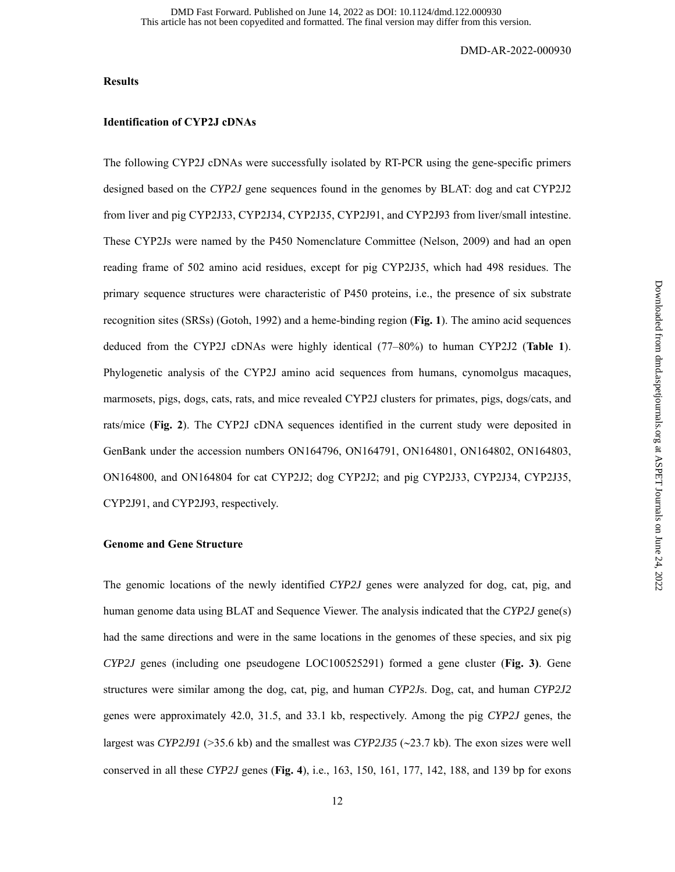### **Results**

## **Identification of CYP2J cDNAs**

The following CYP2J cDNAs were successfully isolated by RT-PCR using the gene-specific primers designed based on the *CYP2J* gene sequences found in the genomes by BLAT: dog and cat CYP2J2 from liver and pig CYP2J33, CYP2J34, CYP2J35, CYP2J91, and CYP2J93 from liver/small intestine. These CYP2Js were named by the P450 Nomenclature Committee (Nelson, 2009) and had an open reading frame of 502 amino acid residues, except for pig CYP2J35, which had 498 residues. The primary sequence structures were characteristic of P450 proteins, i.e., the presence of six substrate recognition sites (SRSs) (Gotoh, 1992) and a heme-binding region (**Fig. 1**). The amino acid sequences deduced from the CYP2J cDNAs were highly identical (77–80%) to human CYP2J2 (**Table 1**). Phylogenetic analysis of the CYP2J amino acid sequences from humans, cynomolgus macaques, marmosets, pigs, dogs, cats, rats, and mice revealed CYP2J clusters for primates, pigs, dogs/cats, and rats/mice (**Fig. 2**). The CYP2J cDNA sequences identified in the current study were deposited in GenBank under the accession numbers ON164796, ON164791, ON164801, ON164802, ON164803, ON164800, and ON164804 for cat CYP2J2; dog CYP2J2; and pig CYP2J33, CYP2J34, CYP2J35, CYP2J91, and CYP2J93, respectively.

## **Genome and Gene Structure**

The genomic locations of the newly identified *CYP2J* genes were analyzed for dog, cat, pig, and human genome data using BLAT and Sequence Viewer. The analysis indicated that the *CYP2J* gene(s) had the same directions and were in the same locations in the genomes of these species, and six pig *CYP2J* genes (including one pseudogene LOC100525291) formed a gene cluster (**Fig. 3)**. Gene structures were similar among the dog, cat, pig, and human *CYP2J*s. Dog, cat, and human *CYP2J2* genes were approximately 42.0, 31.5, and 33.1 kb, respectively. Among the pig *CYP2J* genes, the largest was *CYP2J91* ( $>35.6$  kb) and the smallest was *CYP2J35* ( $\sim$ 23.7 kb). The exon sizes were well conserved in all these *CYP2J* genes (**Fig. 4**), i.e., 163, 150, 161, 177, 142, 188, and 139 bp for exons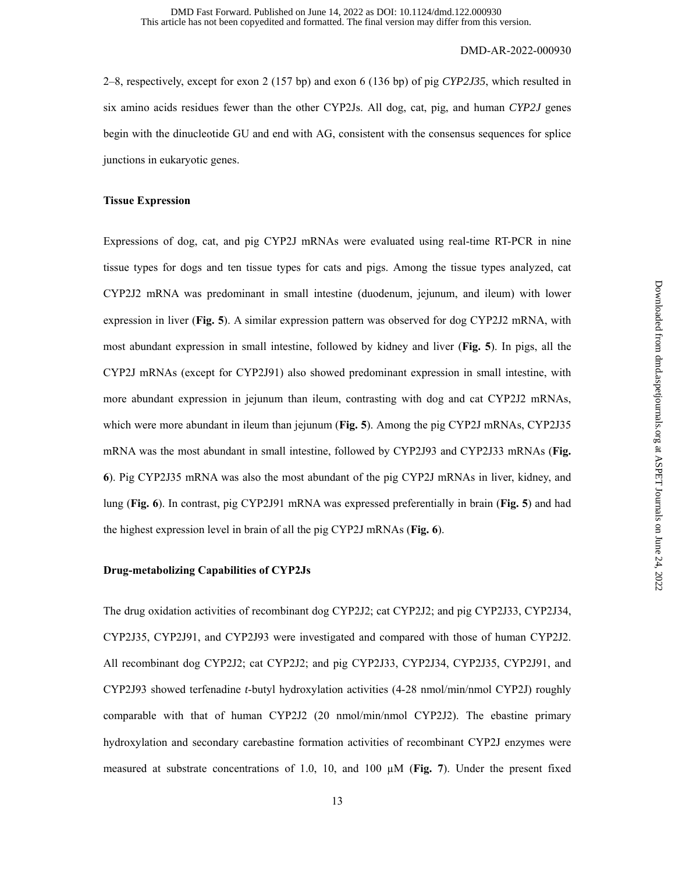2–8, respectively, except for exon 2 (157 bp) and exon 6 (136 bp) of pig *CYP2J35*, which resulted in six amino acids residues fewer than the other CYP2Js. All dog, cat, pig, and human *CYP2J* genes begin with the dinucleotide GU and end with AG, consistent with the consensus sequences for splice junctions in eukaryotic genes.

## **Tissue Expression**

Expressions of dog, cat, and pig CYP2J mRNAs were evaluated using real-time RT-PCR in nine tissue types for dogs and ten tissue types for cats and pigs. Among the tissue types analyzed, cat CYP2J2 mRNA was predominant in small intestine (duodenum, jejunum, and ileum) with lower expression in liver (**Fig. 5**). A similar expression pattern was observed for dog CYP2J2 mRNA, with most abundant expression in small intestine, followed by kidney and liver (**Fig. 5**). In pigs, all the CYP2J mRNAs (except for CYP2J91) also showed predominant expression in small intestine, with more abundant expression in jejunum than ileum, contrasting with dog and cat CYP2J2 mRNAs, which were more abundant in ileum than jejunum (**Fig. 5**). Among the pig CYP2J mRNAs, CYP2J35 mRNA was the most abundant in small intestine, followed by CYP2J93 and CYP2J33 mRNAs (**Fig. 6**). Pig CYP2J35 mRNA was also the most abundant of the pig CYP2J mRNAs in liver, kidney, and lung (**Fig. 6**). In contrast, pig CYP2J91 mRNA was expressed preferentially in brain (**Fig. 5**) and had the highest expression level in brain of all the pig CYP2J mRNAs (**Fig. 6**).

## **Drug-metabolizing Capabilities of CYP2Js**

The drug oxidation activities of recombinant dog CYP2J2; cat CYP2J2; and pig CYP2J33, CYP2J34, CYP2J35, CYP2J91, and CYP2J93 were investigated and compared with those of human CYP2J2. All recombinant dog CYP2J2; cat CYP2J2; and pig CYP2J33, CYP2J34, CYP2J35, CYP2J91, and CYP2J93 showed terfenadine *t*-butyl hydroxylation activities (4-28 nmol/min/nmol CYP2J) roughly comparable with that of human CYP2J2 (20 nmol/min/nmol CYP2J2). The ebastine primary hydroxylation and secondary carebastine formation activities of recombinant CYP2J enzymes were measured at substrate concentrations of 1.0, 10, and 100 µM (**Fig. 7**). Under the present fixed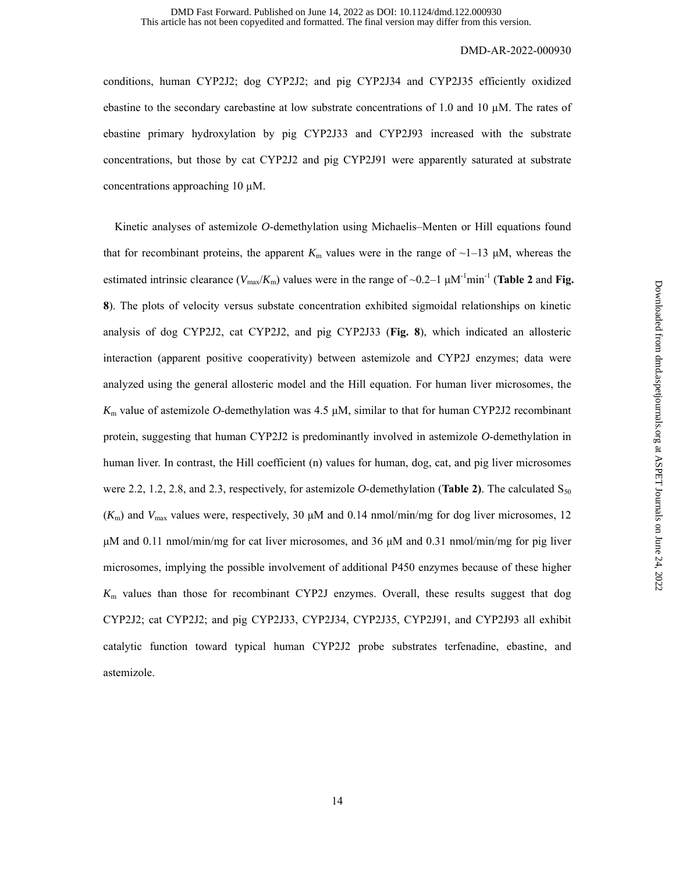conditions, human CYP2J2; dog CYP2J2; and pig CYP2J34 and CYP2J35 efficiently oxidized ebastine to the secondary carebastine at low substrate concentrations of 1.0 and 10  $\mu$ M. The rates of ebastine primary hydroxylation by pig CYP2J33 and CYP2J93 increased with the substrate concentrations, but those by cat CYP2J2 and pig CYP2J91 were apparently saturated at substrate concentrations approaching 10  $\mu$ M.

Kinetic analyses of astemizole *O*-demethylation using Michaelis–Menten or Hill equations found that for recombinant proteins, the apparent  $K<sub>m</sub>$  values were in the range of  $\sim$ 1–13  $\mu$ M, whereas the estimated intrinsic clearance ( $V_{\text{max}}/K_{\text{m}}$ ) values were in the range of  $\sim$ 0.2–1  $\mu$ M<sup>-1</sup>min<sup>-1</sup> (**Table 2** and **Fig. 8**). The plots of velocity versus substate concentration exhibited sigmoidal relationships on kinetic analysis of dog CYP2J2, cat CYP2J2, and pig CYP2J33 (**Fig. 8**), which indicated an allosteric interaction (apparent positive cooperativity) between astemizole and CYP2J enzymes; data were analyzed using the general allosteric model and the Hill equation. For human liver microsomes, the  $K_m$  value of astemizole *O*-demethylation was 4.5  $\mu$ M, similar to that for human CYP2J2 recombinant protein, suggesting that human CYP2J2 is predominantly involved in astemizole *O*-demethylation in human liver. In contrast, the Hill coefficient (n) values for human, dog, cat, and pig liver microsomes were 2.2, 1.2, 2.8, and 2.3, respectively, for astemizole O-demethylation (**Table 2**). The calculated  $S_{50}$  $(K<sub>m</sub>)$  and  $V<sub>max</sub>$  values were, respectively, 30  $\mu$ M and 0.14 nmol/min/mg for dog liver microsomes, 12 μM and 0.11 nmol/min/mg for cat liver microsomes, and 36 μM and 0.31 nmol/min/mg for pig liver microsomes, implying the possible involvement of additional P450 enzymes because of these higher *K*m values than those for recombinant CYP2J enzymes. Overall, these results suggest that dog CYP2J2; cat CYP2J2; and pig CYP2J33, CYP2J34, CYP2J35, CYP2J91, and CYP2J93 all exhibit catalytic function toward typical human CYP2J2 probe substrates terfenadine, ebastine, and astemizole.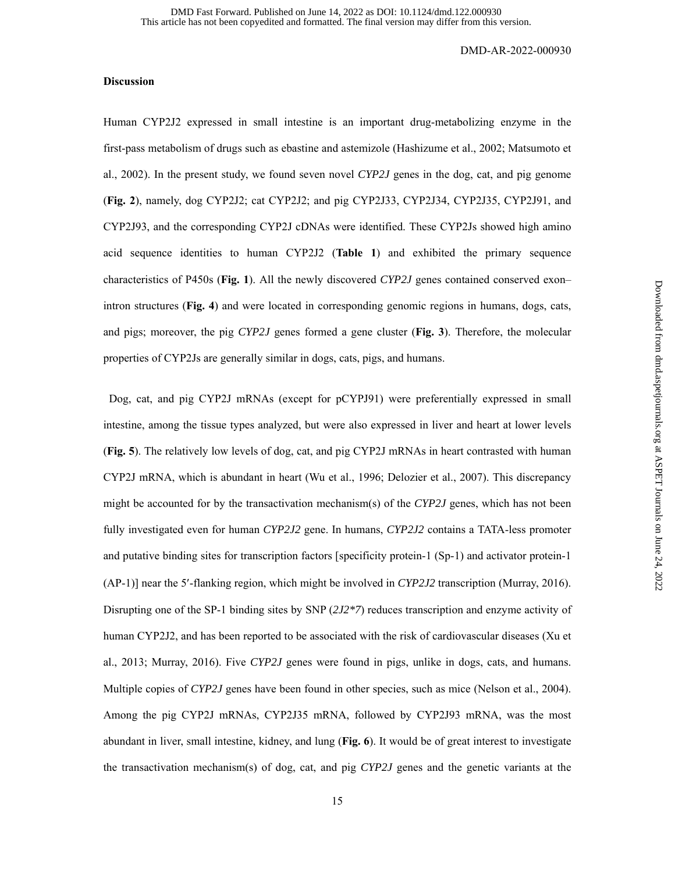### **Discussion**

Human CYP2J2 expressed in small intestine is an important drug-metabolizing enzyme in the first-pass metabolism of drugs such as ebastine and astemizole (Hashizume et al., 2002; Matsumoto et al., 2002). In the present study, we found seven novel *CYP2J* genes in the dog, cat, and pig genome (**Fig. 2**), namely, dog CYP2J2; cat CYP2J2; and pig CYP2J33, CYP2J34, CYP2J35, CYP2J91, and CYP2J93, and the corresponding CYP2J cDNAs were identified. These CYP2Js showed high amino acid sequence identities to human CYP2J2 (**Table 1**) and exhibited the primary sequence characteristics of P450s (**Fig. 1**). All the newly discovered *CYP2J* genes contained conserved exon– intron structures (**Fig. 4**) and were located in corresponding genomic regions in humans, dogs, cats, and pigs; moreover, the pig *CYP2J* genes formed a gene cluster (**Fig. 3**). Therefore, the molecular properties of CYP2Js are generally similar in dogs, cats, pigs, and humans.

Dog, cat, and pig CYP2J mRNAs (except for pCYPJ91) were preferentially expressed in small intestine, among the tissue types analyzed, but were also expressed in liver and heart at lower levels (**Fig. 5**). The relatively low levels of dog, cat, and pig CYP2J mRNAs in heart contrasted with human CYP2J mRNA, which is abundant in heart (Wu et al., 1996; Delozier et al., 2007). This discrepancy might be accounted for by the transactivation mechanism(s) of the *CYP2J* genes, which has not been fully investigated even for human *CYP2J2* gene. In humans, *CYP2J2* contains a TATA-less promoter and putative binding sites for transcription factors [specificity protein-1 (Sp-1) and activator protein-1 (AP-1)] near the 5-flanking region, which might be involved in *CYP2J2* transcription (Murray, 2016). Disrupting one of the SP-1 binding sites by SNP (*2J2\*7*) reduces transcription and enzyme activity of human CYP2J2, and has been reported to be associated with the risk of cardiovascular diseases (Xu et al., 2013; Murray, 2016). Five *CYP2J* genes were found in pigs, unlike in dogs, cats, and humans. Multiple copies of *CYP2J* genes have been found in other species, such as mice (Nelson et al., 2004). Among the pig CYP2J mRNAs, CYP2J35 mRNA, followed by CYP2J93 mRNA, was the most abundant in liver, small intestine, kidney, and lung (**Fig. 6**). It would be of great interest to investigate the transactivation mechanism(s) of dog, cat, and pig *CYP2J* genes and the genetic variants at the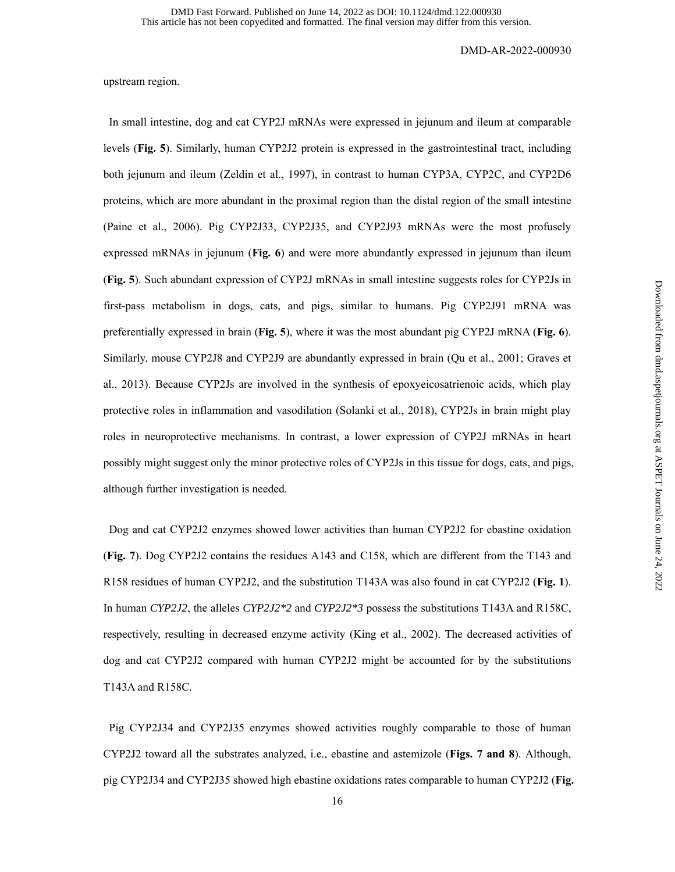upstream region.

In small intestine, dog and cat CYP2J mRNAs were expressed in jejunum and ileum at comparable levels (**Fig. 5**). Similarly, human CYP2J2 protein is expressed in the gastrointestinal tract, including both jejunum and ileum (Zeldin et al., 1997), in contrast to human CYP3A, CYP2C, and CYP2D6 proteins, which are more abundant in the proximal region than the distal region of the small intestine (Paine et al., 2006). Pig CYP2J33, CYP2J35, and CYP2J93 mRNAs were the most profusely expressed mRNAs in jejunum (**Fig. 6**) and were more abundantly expressed in jejunum than ileum (**Fig. 5**). Such abundant expression of CYP2J mRNAs in small intestine suggests roles for CYP2Js in first-pass metabolism in dogs, cats, and pigs, similar to humans. Pig CYP2J91 mRNA was preferentially expressed in brain (**Fig. 5**), where it was the most abundant pig CYP2J mRNA (**Fig. 6**). Similarly, mouse CYP2J8 and CYP2J9 are abundantly expressed in brain (Qu et al., 2001; Graves et al., 2013). Because CYP2Js are involved in the synthesis of epoxyeicosatrienoic acids, which play protective roles in inflammation and vasodilation (Solanki et al., 2018), CYP2Js in brain might play roles in neuroprotective mechanisms. In contrast, a lower expression of CYP2J mRNAs in heart possibly might suggest only the minor protective roles of CYP2Js in this tissue for dogs, cats, and pigs, although further investigation is needed.

Dog and cat CYP2J2 enzymes showed lower activities than human CYP2J2 for ebastine oxidation (**Fig. 7**). Dog CYP2J2 contains the residues A143 and C158, which are different from the T143 and R158 residues of human CYP2J2, and the substitution T143A was also found in cat CYP2J2 (**Fig. 1**). In human *CYP2J2*, the alleles *CYP2J2\*2* and *CYP2J2\*3* possess the substitutions T143A and R158C, respectively, resulting in decreased enzyme activity (King et al., 2002). The decreased activities of dog and cat CYP2J2 compared with human CYP2J2 might be accounted for by the substitutions T143A and R158C.

Pig CYP2J34 and CYP2J35 enzymes showed activities roughly comparable to those of human CYP2J2 toward all the substrates analyzed, i.e., ebastine and astemizole (**Figs. 7 and 8**). Although, pig CYP2J34 and CYP2J35 showed high ebastine oxidations rates comparable to human CYP2J2 (**Fig.**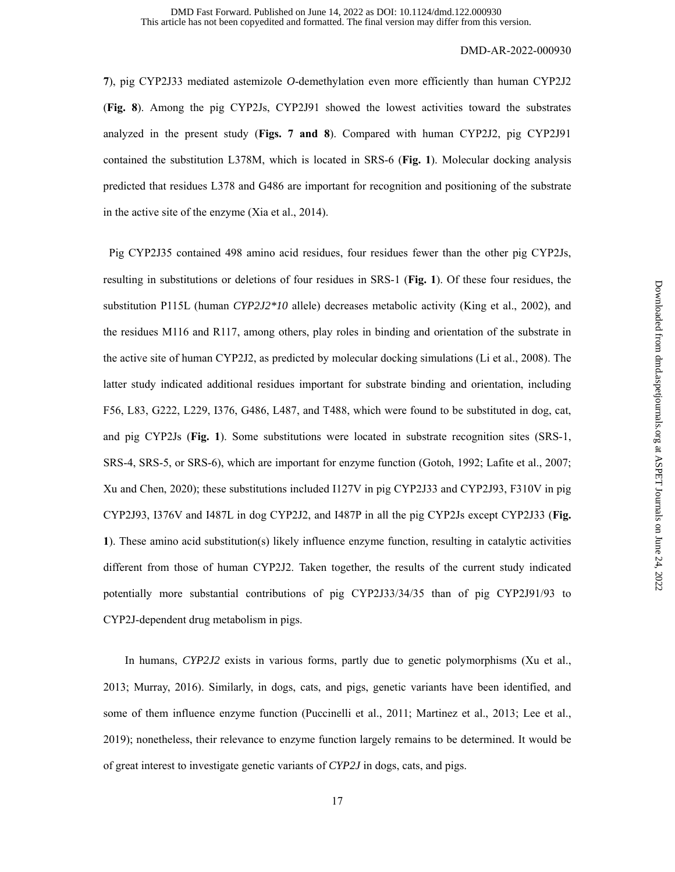**7**), pig CYP2J33 mediated astemizole *O*-demethylation even more efficiently than human CYP2J2 (**Fig. 8**). Among the pig CYP2Js, CYP2J91 showed the lowest activities toward the substrates analyzed in the present study (**Figs. 7 and 8**). Compared with human CYP2J2, pig CYP2J91 contained the substitution L378M, which is located in SRS-6 (**Fig. 1**). Molecular docking analysis predicted that residues L378 and G486 are important for recognition and positioning of the substrate in the active site of the enzyme (Xia et al., 2014).

Pig CYP2J35 contained 498 amino acid residues, four residues fewer than the other pig CYP2Js, resulting in substitutions or deletions of four residues in SRS-1 (**Fig. 1**). Of these four residues, the substitution P115L (human *CYP2J2\*10* allele) decreases metabolic activity (King et al., 2002), and the residues M116 and R117, among others, play roles in binding and orientation of the substrate in the active site of human CYP2J2, as predicted by molecular docking simulations (Li et al., 2008). The latter study indicated additional residues important for substrate binding and orientation, including F56, L83, G222, L229, I376, G486, L487, and T488, which were found to be substituted in dog, cat, and pig CYP2Js (**Fig. 1**). Some substitutions were located in substrate recognition sites (SRS-1, SRS-4, SRS-5, or SRS-6), which are important for enzyme function (Gotoh, 1992; Lafite et al., 2007; Xu and Chen, 2020); these substitutions included I127V in pig CYP2J33 and CYP2J93, F310V in pig CYP2J93, I376V and I487L in dog CYP2J2, and I487P in all the pig CYP2Js except CYP2J33 (**Fig. 1**). These amino acid substitution(s) likely influence enzyme function, resulting in catalytic activities different from those of human CYP2J2. Taken together, the results of the current study indicated potentially more substantial contributions of pig CYP2J33/34/35 than of pig CYP2J91/93 to CYP2J-dependent drug metabolism in pigs.

 In humans, *CYP2J2* exists in various forms, partly due to genetic polymorphisms (Xu et al., 2013; Murray, 2016). Similarly, in dogs, cats, and pigs, genetic variants have been identified, and some of them influence enzyme function (Puccinelli et al., 2011; Martinez et al., 2013; Lee et al., 2019); nonetheless, their relevance to enzyme function largely remains to be determined. It would be of great interest to investigate genetic variants of *CYP2J* in dogs, cats, and pigs.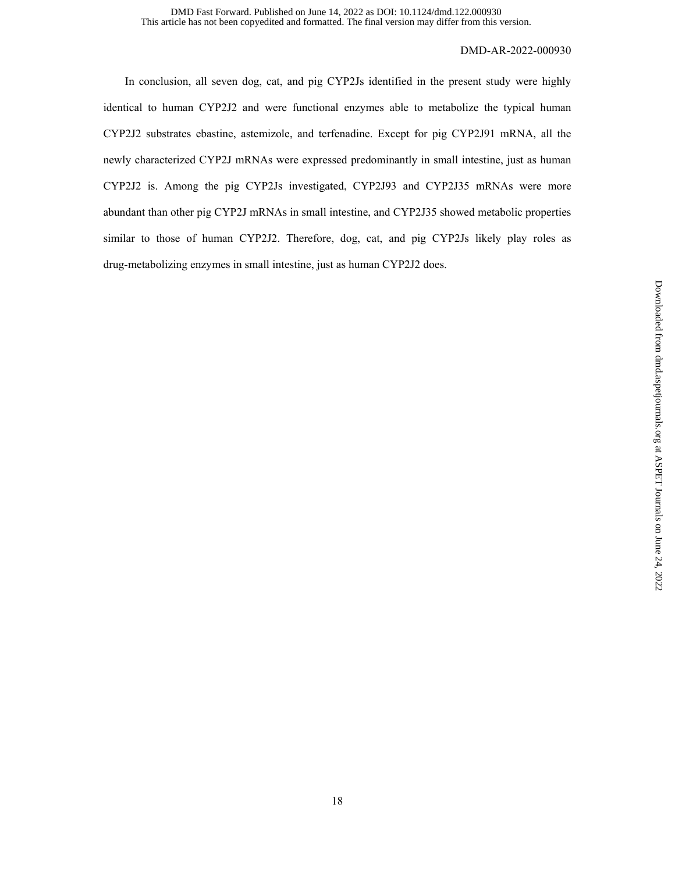In conclusion, all seven dog, cat, and pig CYP2Js identified in the present study were highly identical to human CYP2J2 and were functional enzymes able to metabolize the typical human CYP2J2 substrates ebastine, astemizole, and terfenadine. Except for pig CYP2J91 mRNA, all the newly characterized CYP2J mRNAs were expressed predominantly in small intestine, just as human CYP2J2 is. Among the pig CYP2Js investigated, CYP2J93 and CYP2J35 mRNAs were more abundant than other pig CYP2J mRNAs in small intestine, and CYP2J35 showed metabolic properties similar to those of human CYP2J2. Therefore, dog, cat, and pig CYP2Js likely play roles as drug-metabolizing enzymes in small intestine, just as human CYP2J2 does.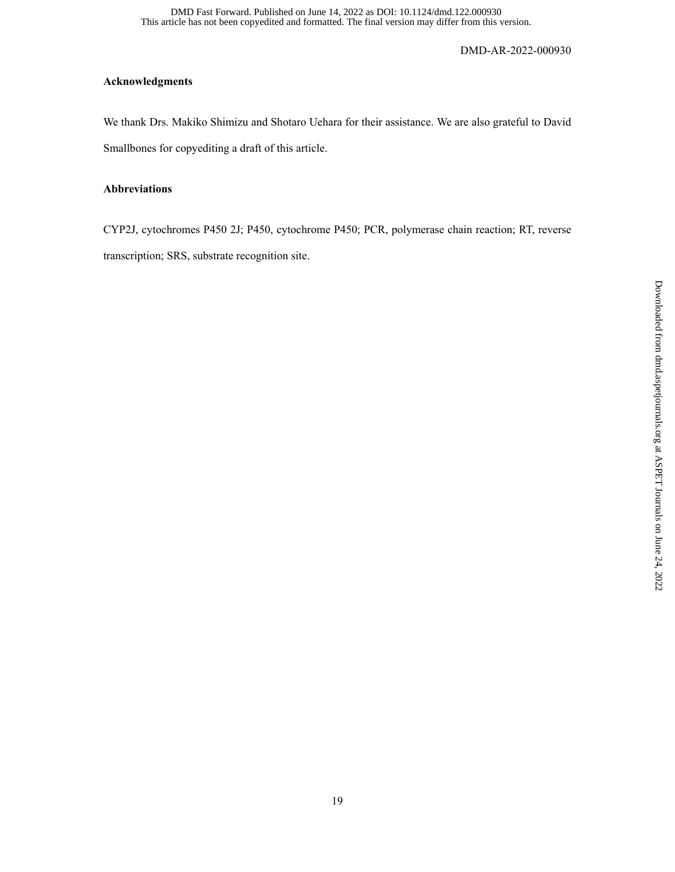## **Acknowledgments**

We thank Drs. Makiko Shimizu and Shotaro Uehara for their assistance. We are also grateful to David Smallbones for copyediting a draft of this article.

## **Abbreviations**

CYP2J, cytochromes P450 2J; P450, cytochrome P450; PCR, polymerase chain reaction; RT, reverse transcription; SRS, substrate recognition site.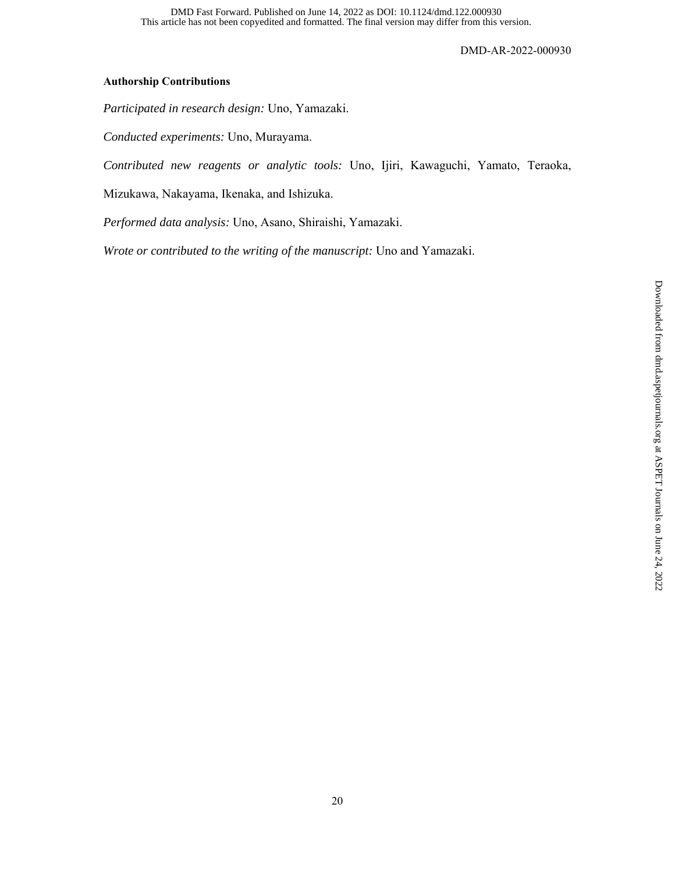## **Authorship Contributions**

*Participated in research design:* Uno, Yamazaki.

*Conducted experiments:* Uno, Murayama.

*Contributed new reagents or analytic tools:* Uno, Ijiri, Kawaguchi, Yamato, Teraoka,

Mizukawa, Nakayama, Ikenaka, and Ishizuka.

*Performed data analysis:* Uno, Asano, Shiraishi, Yamazaki.

*Wrote or contributed to the writing of the manuscript:* Uno and Yamazaki.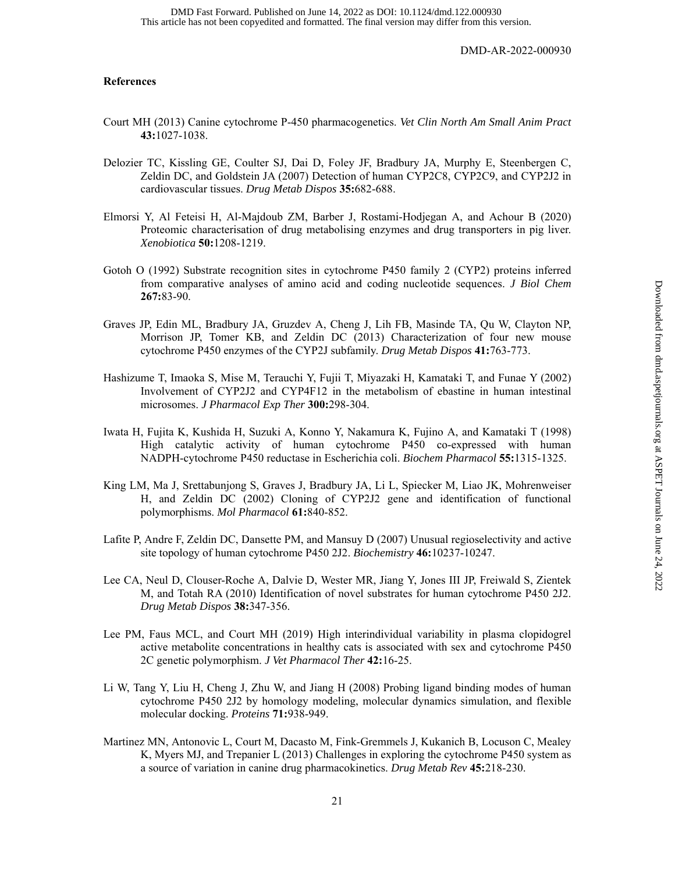## **References**

- Court MH (2013) Canine cytochrome P-450 pharmacogenetics. *Vet Clin North Am Small Anim Pract* **43:**1027-1038.
- Delozier TC, Kissling GE, Coulter SJ, Dai D, Foley JF, Bradbury JA, Murphy E, Steenbergen C, Zeldin DC, and Goldstein JA (2007) Detection of human CYP2C8, CYP2C9, and CYP2J2 in cardiovascular tissues. *Drug Metab Dispos* **35:**682-688.
- Elmorsi Y, Al Feteisi H, Al-Majdoub ZM, Barber J, Rostami-Hodjegan A, and Achour B (2020) Proteomic characterisation of drug metabolising enzymes and drug transporters in pig liver. *Xenobiotica* **50:**1208-1219.
- Gotoh O (1992) Substrate recognition sites in cytochrome P450 family 2 (CYP2) proteins inferred from comparative analyses of amino acid and coding nucleotide sequences. *J Biol Chem* **267:**83-90.
- Graves JP, Edin ML, Bradbury JA, Gruzdev A, Cheng J, Lih FB, Masinde TA, Qu W, Clayton NP, Morrison JP, Tomer KB, and Zeldin DC (2013) Characterization of four new mouse cytochrome P450 enzymes of the CYP2J subfamily. *Drug Metab Dispos* **41:**763-773.
- Hashizume T, Imaoka S, Mise M, Terauchi Y, Fujii T, Miyazaki H, Kamataki T, and Funae Y (2002) Involvement of CYP2J2 and CYP4F12 in the metabolism of ebastine in human intestinal microsomes. *J Pharmacol Exp Ther* **300:**298-304.
- Iwata H, Fujita K, Kushida H, Suzuki A, Konno Y, Nakamura K, Fujino A, and Kamataki T (1998) High catalytic activity of human cytochrome P450 co-expressed with human NADPH-cytochrome P450 reductase in Escherichia coli. *Biochem Pharmacol* **55:**1315-1325.
- King LM, Ma J, Srettabunjong S, Graves J, Bradbury JA, Li L, Spiecker M, Liao JK, Mohrenweiser H, and Zeldin DC (2002) Cloning of CYP2J2 gene and identification of functional polymorphisms. *Mol Pharmacol* **61:**840-852.
- Lafite P, Andre F, Zeldin DC, Dansette PM, and Mansuy D (2007) Unusual regioselectivity and active site topology of human cytochrome P450 2J2. *Biochemistry* **46:**10237-10247.
- Lee CA, Neul D, Clouser-Roche A, Dalvie D, Wester MR, Jiang Y, Jones III JP, Freiwald S, Zientek M, and Totah RA (2010) Identification of novel substrates for human cytochrome P450 2J2. *Drug Metab Dispos* **38:**347-356.
- Lee PM, Faus MCL, and Court MH (2019) High interindividual variability in plasma clopidogrel active metabolite concentrations in healthy cats is associated with sex and cytochrome P450 2C genetic polymorphism. *J Vet Pharmacol Ther* **42:**16-25.
- Li W, Tang Y, Liu H, Cheng J, Zhu W, and Jiang H (2008) Probing ligand binding modes of human cytochrome P450 2J2 by homology modeling, molecular dynamics simulation, and flexible molecular docking. *Proteins* **71:**938-949.
- Martinez MN, Antonovic L, Court M, Dacasto M, Fink-Gremmels J, Kukanich B, Locuson C, Mealey K, Myers MJ, and Trepanier L (2013) Challenges in exploring the cytochrome P450 system as a source of variation in canine drug pharmacokinetics. *Drug Metab Rev* **45:**218-230.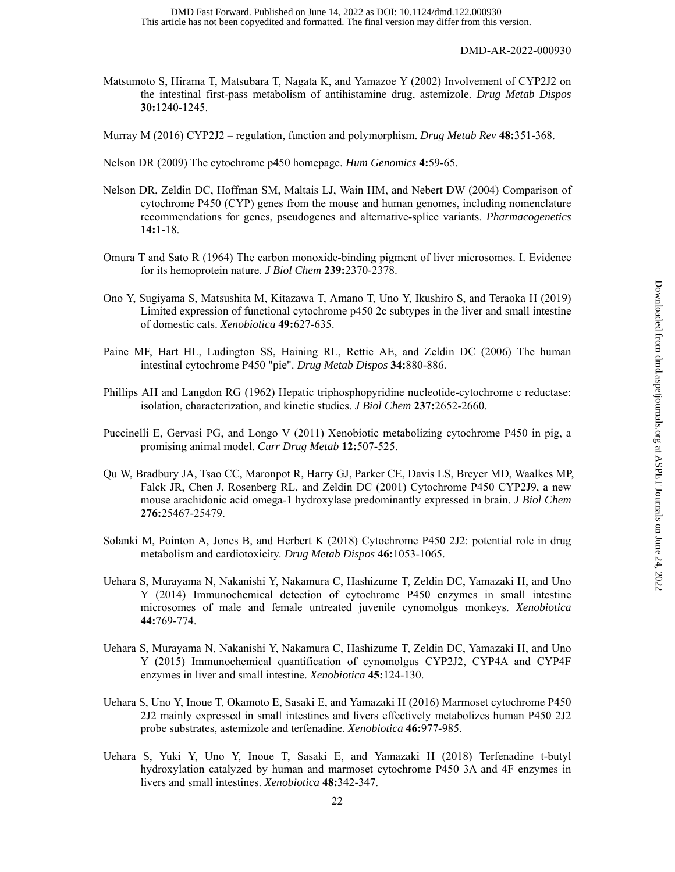- Matsumoto S, Hirama T, Matsubara T, Nagata K, and Yamazoe Y (2002) Involvement of CYP2J2 on the intestinal first-pass metabolism of antihistamine drug, astemizole. *Drug Metab Dispos* **30:**1240-1245.
- Murray M (2016) CYP2J2 regulation, function and polymorphism. *Drug Metab Rev* **48:**351-368.
- Nelson DR (2009) The cytochrome p450 homepage. *Hum Genomics* **4:**59-65.
- Nelson DR, Zeldin DC, Hoffman SM, Maltais LJ, Wain HM, and Nebert DW (2004) Comparison of cytochrome P450 (CYP) genes from the mouse and human genomes, including nomenclature recommendations for genes, pseudogenes and alternative-splice variants. *Pharmacogenetics* **14:**1-18.
- Omura T and Sato R (1964) The carbon monoxide-binding pigment of liver microsomes. I. Evidence for its hemoprotein nature. *J Biol Chem* **239:**2370-2378.
- Ono Y, Sugiyama S, Matsushita M, Kitazawa T, Amano T, Uno Y, Ikushiro S, and Teraoka H (2019) Limited expression of functional cytochrome p450 2c subtypes in the liver and small intestine of domestic cats. *Xenobiotica* **49:**627-635.
- Paine MF, Hart HL, Ludington SS, Haining RL, Rettie AE, and Zeldin DC (2006) The human intestinal cytochrome P450 "pie". *Drug Metab Dispos* **34:**880-886.
- Phillips AH and Langdon RG (1962) Hepatic triphosphopyridine nucleotide-cytochrome c reductase: isolation, characterization, and kinetic studies. *J Biol Chem* **237:**2652-2660.
- Puccinelli E, Gervasi PG, and Longo V (2011) Xenobiotic metabolizing cytochrome P450 in pig, a promising animal model. *Curr Drug Metab* **12:**507-525.
- Qu W, Bradbury JA, Tsao CC, Maronpot R, Harry GJ, Parker CE, Davis LS, Breyer MD, Waalkes MP, Falck JR, Chen J, Rosenberg RL, and Zeldin DC (2001) Cytochrome P450 CYP2J9, a new mouse arachidonic acid omega-1 hydroxylase predominantly expressed in brain. *J Biol Chem* **276:**25467-25479.
- Solanki M, Pointon A, Jones B, and Herbert K (2018) Cytochrome P450 2J2: potential role in drug metabolism and cardiotoxicity. *Drug Metab Dispos* **46:**1053-1065.
- Uehara S, Murayama N, Nakanishi Y, Nakamura C, Hashizume T, Zeldin DC, Yamazaki H, and Uno Y (2014) Immunochemical detection of cytochrome P450 enzymes in small intestine microsomes of male and female untreated juvenile cynomolgus monkeys. *Xenobiotica* **44:**769-774.
- Uehara S, Murayama N, Nakanishi Y, Nakamura C, Hashizume T, Zeldin DC, Yamazaki H, and Uno Y (2015) Immunochemical quantification of cynomolgus CYP2J2, CYP4A and CYP4F enzymes in liver and small intestine. *Xenobiotica* **45:**124-130.
- Uehara S, Uno Y, Inoue T, Okamoto E, Sasaki E, and Yamazaki H (2016) Marmoset cytochrome P450 2J2 mainly expressed in small intestines and livers effectively metabolizes human P450 2J2 probe substrates, astemizole and terfenadine. *Xenobiotica* **46:**977-985.
- Uehara S, Yuki Y, Uno Y, Inoue T, Sasaki E, and Yamazaki H (2018) Terfenadine t-butyl hydroxylation catalyzed by human and marmoset cytochrome P450 3A and 4F enzymes in livers and small intestines. *Xenobiotica* **48:**342-347.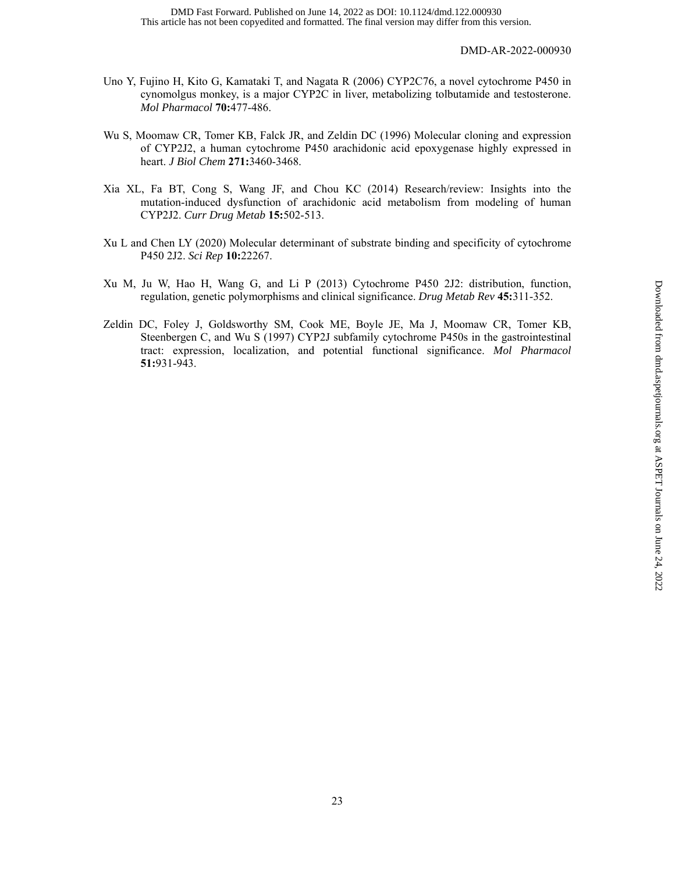- Uno Y, Fujino H, Kito G, Kamataki T, and Nagata R (2006) CYP2C76, a novel cytochrome P450 in cynomolgus monkey, is a major CYP2C in liver, metabolizing tolbutamide and testosterone. *Mol Pharmacol* **70:**477-486.
- Wu S, Moomaw CR, Tomer KB, Falck JR, and Zeldin DC (1996) Molecular cloning and expression of CYP2J2, a human cytochrome P450 arachidonic acid epoxygenase highly expressed in heart. *J Biol Chem* **271:**3460-3468.
- Xia XL, Fa BT, Cong S, Wang JF, and Chou KC (2014) Research/review: Insights into the mutation-induced dysfunction of arachidonic acid metabolism from modeling of human CYP2J2. *Curr Drug Metab* **15:**502-513.
- Xu L and Chen LY (2020) Molecular determinant of substrate binding and specificity of cytochrome P450 2J2. *Sci Rep* **10:**22267.
- Xu M, Ju W, Hao H, Wang G, and Li P (2013) Cytochrome P450 2J2: distribution, function, regulation, genetic polymorphisms and clinical significance. *Drug Metab Rev* **45:**311-352.
- Zeldin DC, Foley J, Goldsworthy SM, Cook ME, Boyle JE, Ma J, Moomaw CR, Tomer KB, Steenbergen C, and Wu S (1997) CYP2J subfamily cytochrome P450s in the gastrointestinal tract: expression, localization, and potential functional significance. *Mol Pharmacol* **51:**931-943.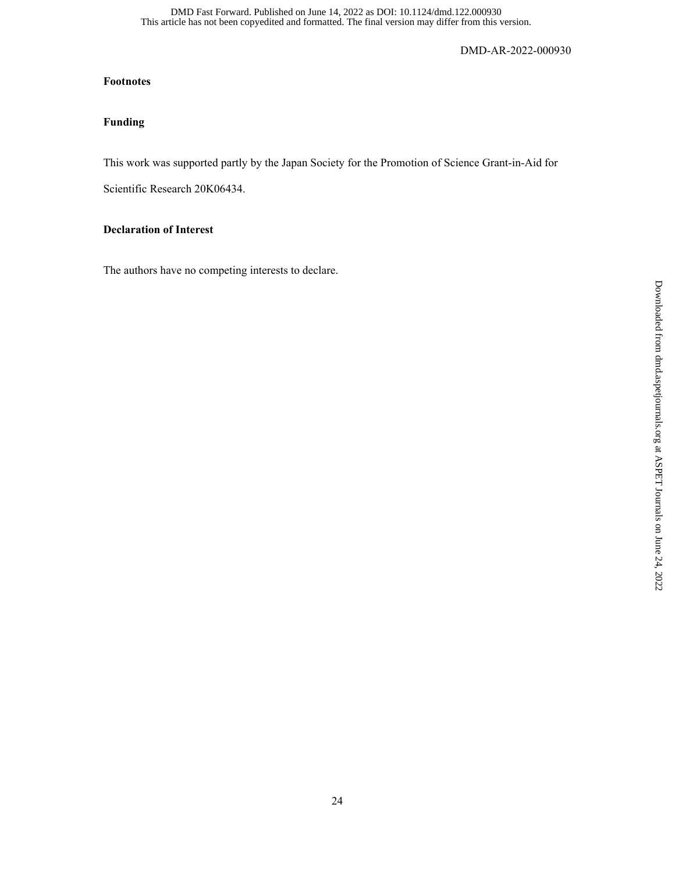## **Footnotes**

# **Funding**

This work was supported partly by the Japan Society for the Promotion of Science Grant-in-Aid for

Scientific Research 20K06434.

## **Declaration of Interest**

The authors have no competing interests to declare.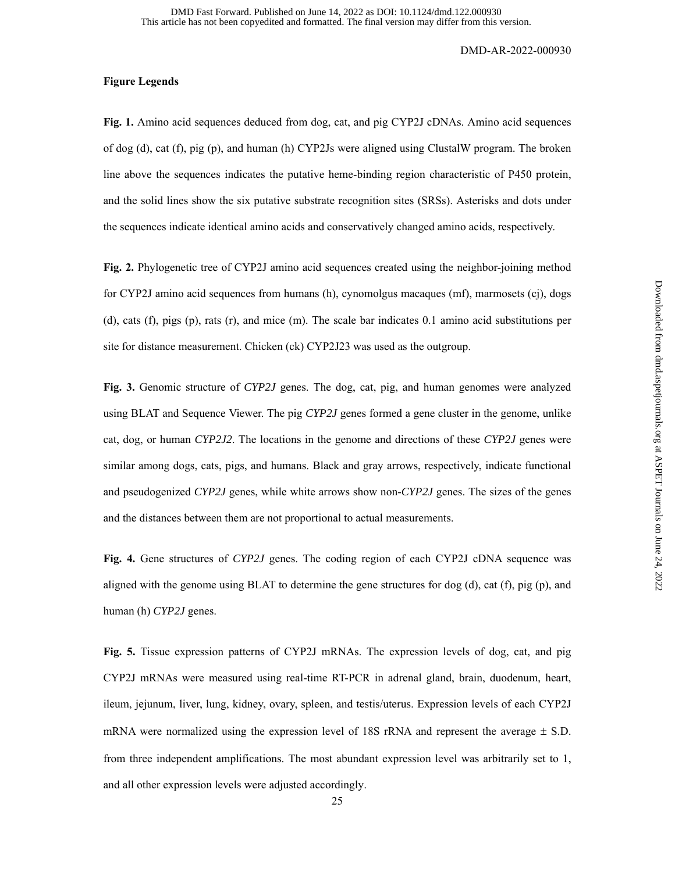## **Figure Legends**

**Fig. 1.** Amino acid sequences deduced from dog, cat, and pig CYP2J cDNAs. Amino acid sequences of dog (d), cat (f), pig (p), and human (h) CYP2Js were aligned using ClustalW program. The broken line above the sequences indicates the putative heme-binding region characteristic of P450 protein, and the solid lines show the six putative substrate recognition sites (SRSs). Asterisks and dots under the sequences indicate identical amino acids and conservatively changed amino acids, respectively.

**Fig. 2.** Phylogenetic tree of CYP2J amino acid sequences created using the neighbor-joining method for CYP2J amino acid sequences from humans (h), cynomolgus macaques (mf), marmosets (cj), dogs (d), cats (f), pigs (p), rats (r), and mice (m). The scale bar indicates 0.1 amino acid substitutions per site for distance measurement. Chicken (ck) CYP2J23 was used as the outgroup.

**Fig. 3.** Genomic structure of *CYP2J* genes. The dog, cat, pig, and human genomes were analyzed using BLAT and Sequence Viewer. The pig *CYP2J* genes formed a gene cluster in the genome, unlike cat, dog, or human *CYP2J2*. The locations in the genome and directions of these *CYP2J* genes were similar among dogs, cats, pigs, and humans. Black and gray arrows, respectively, indicate functional and pseudogenized *CYP2J* genes, while white arrows show non-*CYP2J* genes. The sizes of the genes and the distances between them are not proportional to actual measurements.

**Fig. 4.** Gene structures of *CYP2J* genes. The coding region of each CYP2J cDNA sequence was aligned with the genome using BLAT to determine the gene structures for dog  $(d)$ , cat  $(f)$ , pig  $(p)$ , and human (h) *CYP2J* genes.

**Fig. 5.** Tissue expression patterns of CYP2J mRNAs. The expression levels of dog, cat, and pig CYP2J mRNAs were measured using real-time RT-PCR in adrenal gland, brain, duodenum, heart, ileum, jejunum, liver, lung, kidney, ovary, spleen, and testis/uterus. Expression levels of each CYP2J mRNA were normalized using the expression level of 18S rRNA and represent the average  $\pm$  S.D. from three independent amplifications. The most abundant expression level was arbitrarily set to 1, and all other expression levels were adjusted accordingly.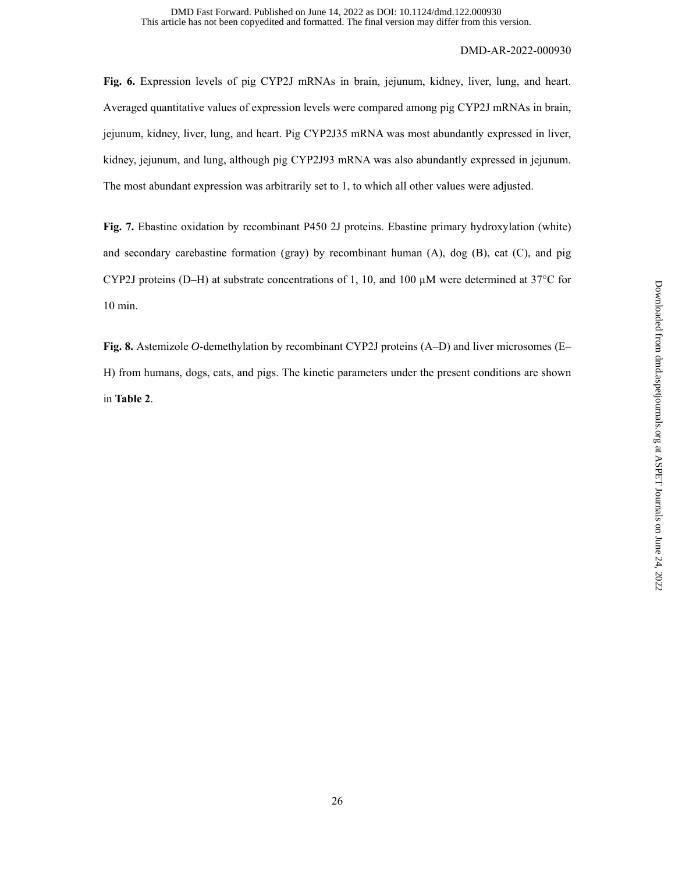**Fig. 6.** Expression levels of pig CYP2J mRNAs in brain, jejunum, kidney, liver, lung, and heart. Averaged quantitative values of expression levels were compared among pig CYP2J mRNAs in brain, jejunum, kidney, liver, lung, and heart. Pig CYP2J35 mRNA was most abundantly expressed in liver, kidney, jejunum, and lung, although pig CYP2J93 mRNA was also abundantly expressed in jejunum. The most abundant expression was arbitrarily set to 1, to which all other values were adjusted.

**Fig. 7.** Ebastine oxidation by recombinant P450 2J proteins. Ebastine primary hydroxylation (white) and secondary carebastine formation (gray) by recombinant human (A), dog (B), cat (C), and pig CYP2J proteins (D–H) at substrate concentrations of 1, 10, and 100  $\mu$ M were determined at 37°C for 10 min.

**Fig. 8.** Astemizole *O*-demethylation by recombinant CYP2J proteins (A–D) and liver microsomes (E– H) from humans, dogs, cats, and pigs. The kinetic parameters under the present conditions are shown in **Table 2**.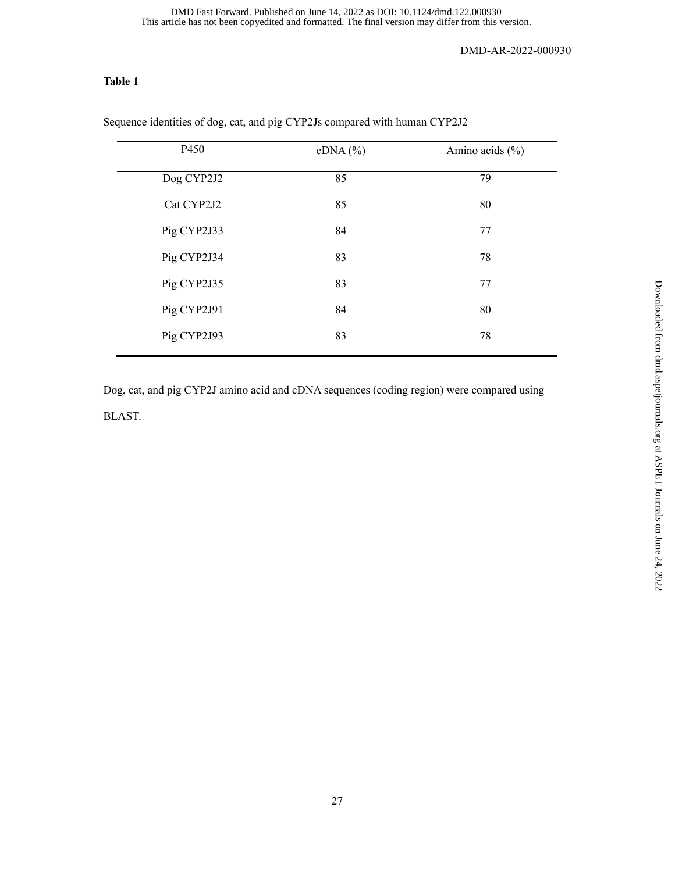## **Table 1**

| P450        | $cDNA$ (%) | Amino acids $(\% )$ |
|-------------|------------|---------------------|
| Dog CYP2J2  | 85         | 79                  |
| Cat CYP2J2  | 85         | 80                  |
| Pig CYP2J33 | 84         | 77                  |
| Pig CYP2J34 | 83         | 78                  |
| Pig CYP2J35 | 83         | 77                  |
| Pig CYP2J91 | 84         | 80                  |
| Pig CYP2J93 | 83         | 78                  |
|             |            |                     |

Sequence identities of dog, cat, and pig CYP2Js compared with human CYP2J2

Dog, cat, and pig CYP2J amino acid and cDNA sequences (coding region) were compared using BLAST.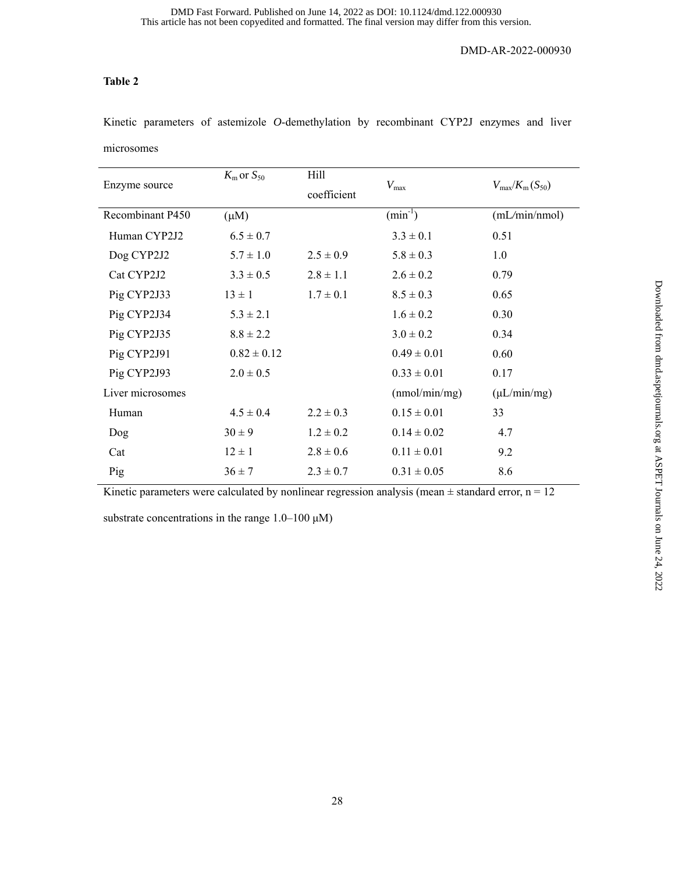# **Table 2**

Kinetic parameters of astemizole *O*-demethylation by recombinant CYP2J enzymes and liver

microsomes

|                  | $K_{\rm m}$ or $S_{50}$ | Hill          |                                       |                                       |  |
|------------------|-------------------------|---------------|---------------------------------------|---------------------------------------|--|
| Enzyme source    |                         | coefficient   | $V_{\rm max}$                         | $V_{\text{max}}/K_{\text{m}}(S_{50})$ |  |
| Recombinant P450 | $(\mu M)$               |               | $\overline{\text{(min}^{\text{-}1}})$ | (mL/min/nmol)                         |  |
| Human CYP2J2     | $6.5 \pm 0.7$           |               | $3.3 \pm 0.1$                         | 0.51                                  |  |
| Dog CYP2J2       | $5.7 \pm 1.0$           | $2.5 \pm 0.9$ | $5.8 \pm 0.3$                         | 1.0                                   |  |
| Cat CYP2J2       | $3.3 \pm 0.5$           | $2.8 \pm 1.1$ | $2.6 \pm 0.2$                         | 0.79                                  |  |
| Pig CYP2J33      | $13 \pm 1$              | $1.7 \pm 0.1$ | $8.5 \pm 0.3$                         | 0.65                                  |  |
| Pig CYP2J34      | $5.3 \pm 2.1$           |               | $1.6 \pm 0.2$                         | 0.30                                  |  |
| Pig CYP2J35      | $8.8 \pm 2.2$           |               | $3.0 \pm 0.2$                         | 0.34                                  |  |
| Pig CYP2J91      | $0.82 \pm 0.12$         |               | $0.49 \pm 0.01$                       | 0.60                                  |  |
| Pig CYP2J93      | $2.0 \pm 0.5$           |               | $0.33 \pm 0.01$                       | 0.17                                  |  |
| Liver microsomes |                         |               | (mmol/min/mg)                         | $(\mu L/min/mg)$                      |  |
| Human            | $4.5 \pm 0.4$           | $2.2 \pm 0.3$ | $0.15 \pm 0.01$                       | 33                                    |  |
| Dog              | $30 \pm 9$              | $1.2 \pm 0.2$ | $0.14 \pm 0.02$                       | 4.7                                   |  |
| Cat              | $12 \pm 1$              | $2.8 \pm 0.6$ | $0.11 \pm 0.01$                       | 9.2                                   |  |
| Pig              | $36 \pm 7$              | $2.3 \pm 0.7$ | $0.31 \pm 0.05$                       | 8.6                                   |  |
|                  |                         |               |                                       |                                       |  |

Kinetic parameters were calculated by nonlinear regression analysis (mean  $\pm$  standard error, n = 12

substrate concentrations in the range  $1.0-100 \mu M$ )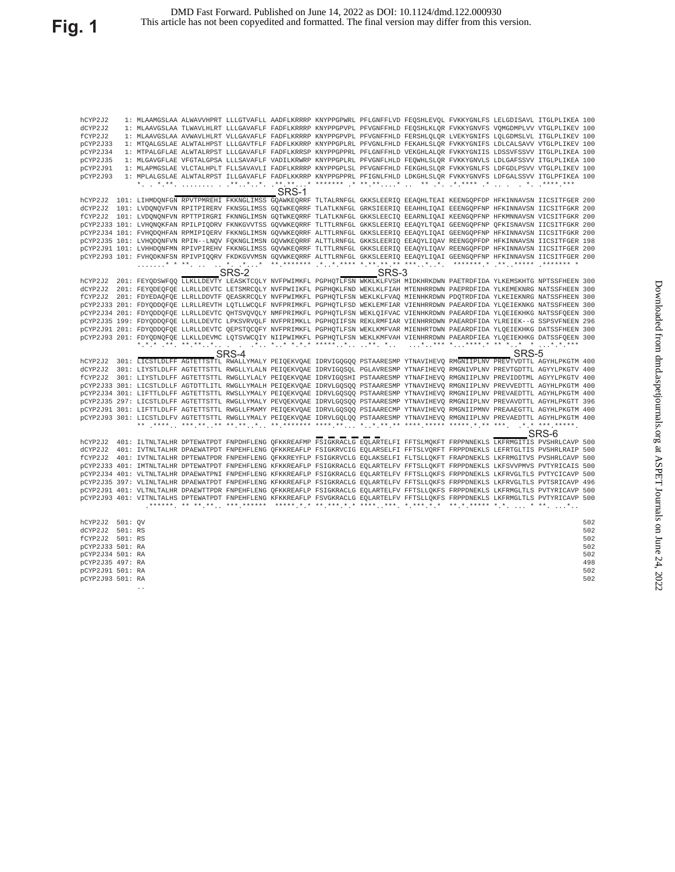| hCYP2J2          |                 |       |       |       | 1: MLAAMGSLAA ALWAVVHPRT LLLGTVAFLL AADFLKRRRP KNYPPGPWRL PFLGNFFLVD FEQSHLEVQL FVKKYGNLFS LELGDISAVL ITGLPLIKEA 100            |       |       |     |
|------------------|-----------------|-------|-------|-------|---------------------------------------------------------------------------------------------------------------------------------|-------|-------|-----|
| dCYP2J2          |                 |       |       |       | 1: MLAAVGSLAA TLWAVLHLRT LLLGAVAFLF FADFLKRRRP KNYPPGPVPL PFVGNFFHLD FEOSHLKLOR FVKKYGNVFS VOMGDMPLVV VTGLPLIKEV 100            |       |       |     |
| fCYP2J2          |                 |       |       |       | 1: MLAAVGSLAA AVWAVLHLRT VLLGAVAFLF FADFLKRRRP KNYPPGPVPL PFVGNFFHLD FERSHLQLQR LVEKYGNIFS LQLGDMSLVL ITGLPLIKEV 100            |       |       |     |
| pCYP2J33         |                 |       |       |       | 1: MTOALGSLAE ALWTALHPST LLLGAVTFLF FADFLKKRRP KNYPPGPLRL PFVGNLFHLD FEKAHLSLOR FVKKYGNIFS LDLCALSAVV VTGLPLIKEV 100            |       |       |     |
| pCYP2J34         |                 |       |       |       | 1: MTPALGFLAE ALWTALRPST LLLGAVAFLF FADFLKRRSP KNYPPGPPRL PFLGNFFHLD VEKGHLALOR FVKKYGNIIS LDSSVFSSVV ITGLPLIKEA 100            |       |       |     |
| pCYP2J35         |                 |       |       |       | 1: MLGAVGFLAE VFGTALGPSA LLLSAVAFLF VADILKRWRP KNYPPGPLRL PFVGNFLHLD FEQWHLSLQR FVKKYGNVLS LDLGAFSSVV ITGLPLIKEA 100            |       |       |     |
| pCYP2J91         |                 |       |       |       | 1: MLAPMGSLAE VLCTALHPLT FLLSAVAVLI FADFLKRRRP KNYPPGPLSL PFVGNFFHLD FEKGHLSLOR FVKKYGNLFS LDFGDLPSVV VTGLPLIKEV 100            |       |       |     |
| pCYP2J93         |                 |       |       |       | 1: MPLALGSLAE ALWTALRPST ILLGAVAFLF FADFLKKRRP KNYPPGPPRL PFIGNLFHLD LDKGHLSLQR FVKKYGNVFS LDFGALSSVV ITGLPFIKEA 100            |       |       |     |
|                  |                 |       |       |       |                                                                                                                                 |       |       |     |
|                  |                 |       | SRS-1 |       |                                                                                                                                 |       |       |     |
|                  |                 |       |       |       | hCYP2J2 101: LIHMDQNFGN RPVTPMREHI FKKNGLIMSS GQAWKEQRRF TLTALRNFGL GKKSLEERIQ EEAQHLTEAI KEENGQPFDP HFKINNAVSN IICSITFGER 200  |       |       |     |
|                  |                 |       |       |       | dCYP2J2 101: LVDONOVFVN RPITPIRERV FKNSGLIMSS GOIWKEORRF TLATLKNFGL GRKSIEERIO EEAHHLIOAI EEENGOPFNP HFKINNAVSN IICSITFGKR 200  |       |       |     |
|                  |                 |       |       |       | fCYP2J2 101: LVDQNQNFVN RPTTPIRGRI FKNNGLIMSN GQTWKEQRRF TLATLKNFGL GKKSLEECIQ EEARNLIQAI KEENGQPFNP HFKMNNAVSN VICSITFGKR 200  |       |       |     |
|                  |                 |       |       |       | pCYP2J33 101: LVHONOKFAN RPILPIODRV FKNKGVVTSS GOVWKEORRF TLTTLRNFGL GKKSLEERIO EEAOYLTOAI GEENGOPFNP OFKISNAVSN IICSITFGKR 200 |       |       |     |
|                  |                 |       |       |       | pCYP2J34 101: FVHODOHFAN RPMIPIOERV FKKNGLIMSN GOVWKEORRF ALTTLRNFGL GKKSLEERIO EEAOYLIOAI GEENGOPFNP HFKINNAVSN IICSITFGKR 200 |       |       |     |
|                  |                 |       |       |       | pCYP2J35 101: LVHODONFVN RPIN--LNOV FOKNGLIMSN GOVWKEORRF ALTTLRNFGL GKKSLEERIO EEAOYLIOAV REENGOPFDP HFKINNAVSN IICSITFGER 198 |       |       |     |
|                  |                 |       |       |       | pCYP2J91 101: LVHHDONFMN RPIVPIREHV FKKNGLIMSS GOVWKEORRF TLTTLRNFGL GKKSLEERIO EEAOYLIOAV REENGOPFDP HFKINNAVSN IICSITFGER 200 |       |       |     |
|                  |                 |       |       |       | pCYP2J93 101: FVHODKNFSN RPIVPIOORV FKDKGVVMSN GOVWKEORRF ALTTLRNFGL GKKSLEERIO EEAOYLIOAI GEENGOPFNP HFKINNAVSN IICSITFGER 200 |       |       |     |
|                  |                 |       |       |       |                                                                                                                                 |       |       |     |
|                  |                 | SRS-2 |       | SRS-3 |                                                                                                                                 |       |       |     |
|                  |                 |       |       |       | hCYP2J2 201: FEYQDSWFQQ LLKLLDEVTY LEASKTCQLY NVFPWIMKFL PGPHQTLFSN WKKLKLFVSH MIDKHRKDWN PAETRDFIDA YLKEMSKHTG NPTSSFHEEN 300  |       |       |     |
|                  |                 |       |       |       | dCYP2J2 201: FEYODEOFOE LLRLLDEVTC LETSMRCOLY NVFPWIIKFL PGPHOKLFND WEKLKLFIAH MTENHRRDWN PAEPRDFIDA YLKEMEKNRG NATSSFHEEN 300  |       |       |     |
|                  |                 |       |       |       | fCYP2J2 201: FDYEDAOFOE LLRLLDDVTF OEASKRCOLY NVFPWIMKFL PGPHOTLFSN WEKLKLFVAO MIENHKRDWN PDOTRDFIDA YLKEIEKNRG NATSSFHEEN 300  |       |       |     |
|                  |                 |       |       |       | pCYP2J33 201: FDYODDOFOE LLRLLREVTH LOTLLWCOLF NVFPRIMKFL PGPHOTLFSD WEKLEMFIAR VIENHRRDWN PAEARDFIDA YLOEIEKNKG NATSSFHEEN 300 |       |       |     |
|                  |                 |       |       |       | pCYP2J34 201: FDYODDOFOE LLRLLDEVTC OHTSVOVOLY NMFPRIMKFL PGPHOTLFSN WEKLOIFVAC VIENHKRDWN PAEARDFIDA YLOEIEKHKG NATSSFOEEN 300 |       |       |     |
|                  |                 |       |       |       | pCYP2J35 199: FDYQDDQFQE LLRLLDEVTC LPKSVRVQLF NVFPRIMKLL PGPHQIIFSN REKLRMFIAR VIENHRRDWN PAEARDFIDA YLREIEK--G SSPSVFNEEN 296 |       |       |     |
|                  |                 |       |       |       | pCYP2J91 201: FDYQDDQFQE LLRLLDEVTC QEPSTQCQFY NVFPRIMKFL PGPHQTLFSN WEKLKMFVAR MIENHRTDWN PAEARDFIDA YLQEIEKHKG DATSSFHEEN 300 |       |       |     |
|                  |                 |       |       |       | pCYP2J93 201: FDYQDNQFQE LLKLLDEVMC LQTSVWCQIY NIIPWIMKFL PGPHQTLFSN WEKLKMFVAH VIENHRRDWN PAEARDFIEA YLQEIEKHKG DATSSFQEEN 300 |       |       |     |
|                  |                 |       |       |       |                                                                                                                                 |       |       |     |
|                  |                 | SRS-4 |       |       |                                                                                                                                 | SRS-5 |       |     |
|                  |                 |       |       |       | hCYP2J2 301: LICSTLDLFF AGTETTSTTL RWALLYMALY PEIQEKVQAE IDRVIGQGQQ PSTAARESMP YTNAVIHEVQ RMGNIIPLNV PREVTVDTTL AGYHLPKGTM 400  |       |       |     |
|                  |                 |       |       |       | dCYP2J2 301: LIYSTLDLFF AGTETTSTTL RWGLLYLALN PEIQEKVQAE IDRVIGQSQL PGLAVRESMP YTNAFIHEVQ RMGNIVPLNV PREVTGDTTL AGYYLPKGTV 400  |       |       |     |
|                  |                 |       |       |       | fCYP2J2 301: LIYSTLDLFF AGTETTSTTL RWGLLYLALY PEIQEKVQAE IDRVIGOSHI PSTAARESMP YTNAFIHEVQ RMGNIIPLNV PREVIDDTML AGYYLPKGTV 400  |       |       |     |
|                  |                 |       |       |       | pCYP2J33 301: LICSTLDLLF AGTDTTLITL RWGLLYMALH PEIQEKVQAE IDRVLGQSQQ PSTAARESMP YTNAVIHEVQ RMGNIIPLNV PREVVEDTTL AGYHLPKGTM 400 |       |       |     |
|                  |                 |       |       |       | pCYP2J34 301: LIFTTLDLFF AGTETTSTTL RWSLLYMALY PEIQEKVQAE IDRVLGOSOO PSTAARESMP YTNAVIHEVO RMGNIIPLNV PREVAEDTTL AGYHLPKGTM 400 |       |       |     |
|                  |                 |       |       |       | pCYP2J35 297: LICSTLDLFF AGTETTSTTL RWGLLYMALY PEVQEKVQAE IDRVLGQSQQ PSTAARESMP YTNAVIHEVQ RMGNIIPLNV PREVAVDTTL AGYHLPKGTT 396 |       |       |     |
|                  |                 |       |       |       | pCYP2J91 301: LIFTTLDLFF AGTETTSTTL RWGLLFMAMY PEIQEKVQAE IDRVLGQSQQ PSIAARECMP YTNAVIHEVQ RMGNIIPMNV PREAAEGTTL AGYHLPKGTM 400 |       |       |     |
|                  |                 |       |       |       | pCYP2J93 301: LICSTLDLFV AGTETTSTTL RWGLLYMALY PEIQEKVQAE IDRVLGQLQO PSTAARESMP YTNAVIHEVQ RMGNIIPLNV PREVAEDTTL AGYHLPKGTM 400 |       |       |     |
|                  |                 |       |       |       |                                                                                                                                 |       |       |     |
|                  |                 |       |       |       |                                                                                                                                 |       | SRS-6 |     |
|                  |                 |       |       |       | hCYP2J2 401: ILTNLTALHR DPTEWATPDT FNPDHFLENG QFKKREAFMP FSIGKRACLG EQLARTELFI FFTSLMQKFT FRPPNNEKLS LKFRMGITIS PVSHRLCAVP 500  |       |       |     |
|                  |                 |       |       |       | dCYP2J2 401: IVTNLTALHR DPAEWATPDT FNPEHFLENG QFKKREAFLP FSIGKRVCIG EQLARSELFI FFTSLVQRFT FRPPDNEKLS LEFRTGLTIS PVSHRLRAIP 500  |       |       |     |
|                  |                 |       |       |       | fCYP2J2 401: IVTNLTALHR DPTEWATPDR FNPEHFLENG OFKKREYFLP FSIGKRVCLG EOLAKSELFI FLTSLLOKFT FRAPDNEKLS LKFRMGITVS PVSHRLCAVP 500  |       |       |     |
|                  |                 |       |       |       | PCYP2J33 401: IMTNLTALHR DPTEWATPDT FNPEHFLENG KFKKREAFLP FSIGKRACLG EQLARTELFV FFTSLLQKFT FRPPDNEKLS LKFSVVPMVS PVTYRICAIS 500 |       |       |     |
|                  |                 |       |       |       | pCYP2J34 401: VLTNLTALHR DPAEWATPNI FNPEHFLENG KFKKREAFLP FSIGKRACLG EQLARTELFV FFTSLLQKFS FRPPDNEKLS LKFRVGLTLS PVTYCICAVP 500 |       |       |     |
|                  |                 |       |       |       | PCYP2J35 397: VLINLTALHR DPAEWATPDT FNPEHFLENG KFKKREAFLP FSIGKRACLG EQLARTELFV FFTSLLQKFS FRPPDNEKLS LKFRVGLTLS PVTSRICAVP 496 |       |       |     |
|                  |                 |       |       |       | pCYP2J91 401: VLTNLTALHR DPAEWTTPDR FNPEHFLENG OFKKREAFLP FSIGKRACLG EOLARTELFV FFTSLLOKFS FRPPDNEKLS LKFRMGLTLS PVTYRICAVP 500 |       |       |     |
|                  |                 |       |       |       | pCYP2J93 401: VITNLTALHS DPTEWATPDT FNPEHFLENG KFKKREAFLP FSVGKRACLG EQLARTELFV FFTSLLQKFS FRPPDNEKLS LKFRMGLTLS PVTYRICAVP 500 |       |       |     |
|                  |                 |       |       |       |                                                                                                                                 |       |       |     |
|                  |                 |       |       |       |                                                                                                                                 |       |       |     |
| hCYP2J2 501: OV  |                 |       |       |       |                                                                                                                                 |       |       | 502 |
| dCYP2J2 501: RS  |                 |       |       |       |                                                                                                                                 |       |       | 502 |
| fCYP2J2 501: RS  |                 |       |       |       |                                                                                                                                 |       |       | 502 |
| pCYP2J33 501: RA |                 |       |       |       |                                                                                                                                 |       |       | 502 |
| pCYP2J34 501: RA |                 |       |       |       |                                                                                                                                 |       |       | 502 |
| pCYP2J35 497: RA |                 |       |       |       |                                                                                                                                 |       |       | 498 |
| pCYP2J91 501: RA |                 |       |       |       |                                                                                                                                 |       |       | 502 |
| pCYP2J93 501: RA |                 |       |       |       |                                                                                                                                 |       |       | 502 |
|                  | $\cdot$ $\cdot$ |       |       |       |                                                                                                                                 |       |       |     |
|                  |                 |       |       |       |                                                                                                                                 |       |       |     |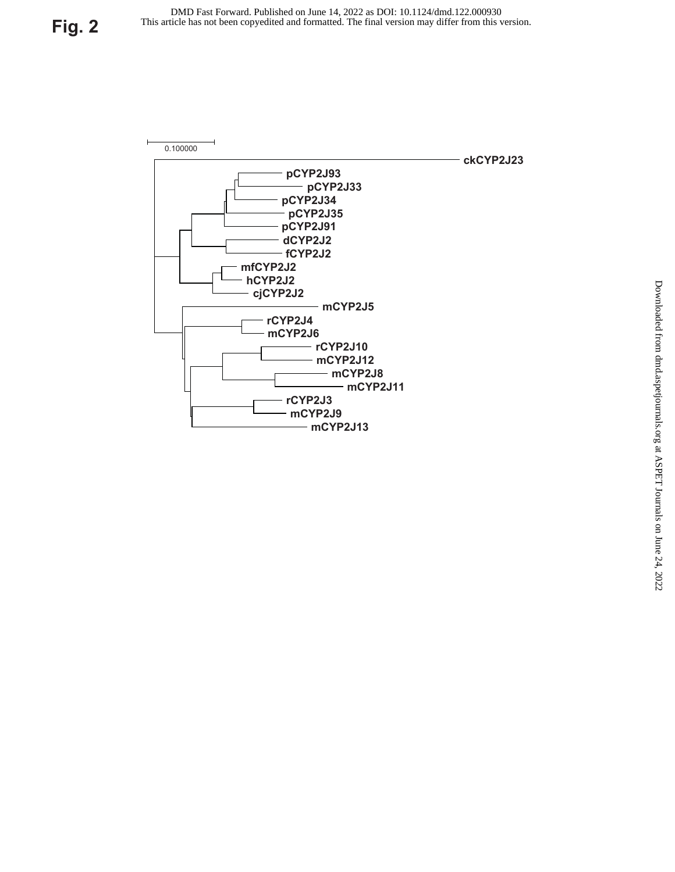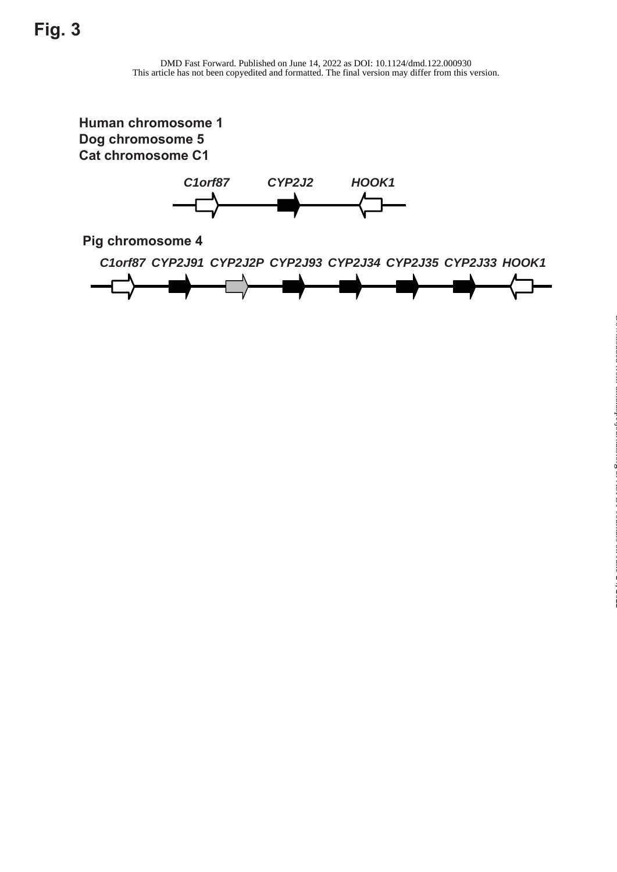**Human chromosome 1 Dog chromosome 5 Cat chromosome C1**



**Pig chromosome 4**

*C1orf87 CYP2J91 CYP2J2P CYP2J93 CYP2J34 CYP2J35 CYP2J33 HOOK1*



at ASPET Journals on June 24, 2022 [dmd.aspetjournals.org](http://dmd.aspetjournals.org/) Downloaded from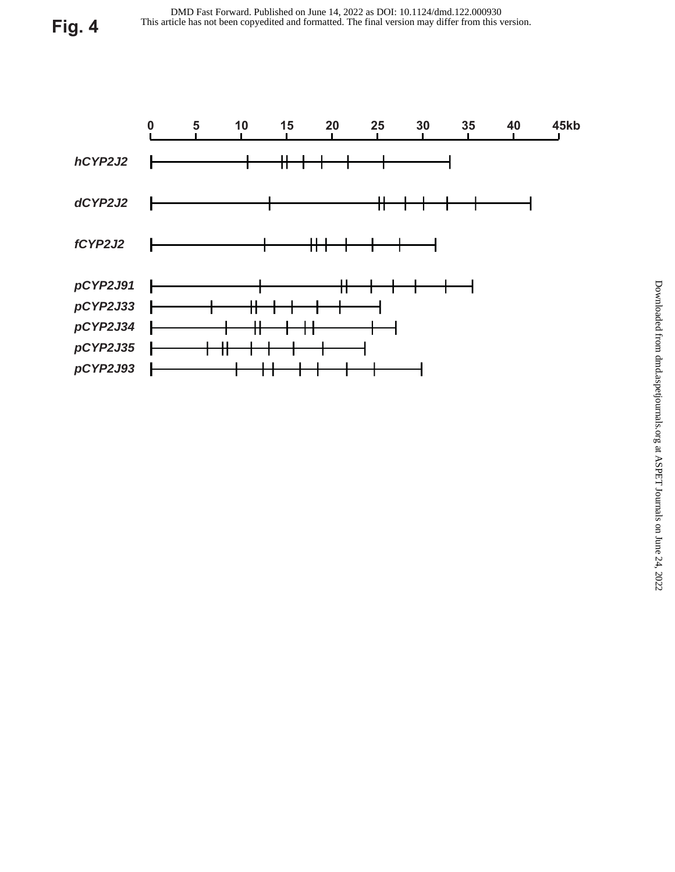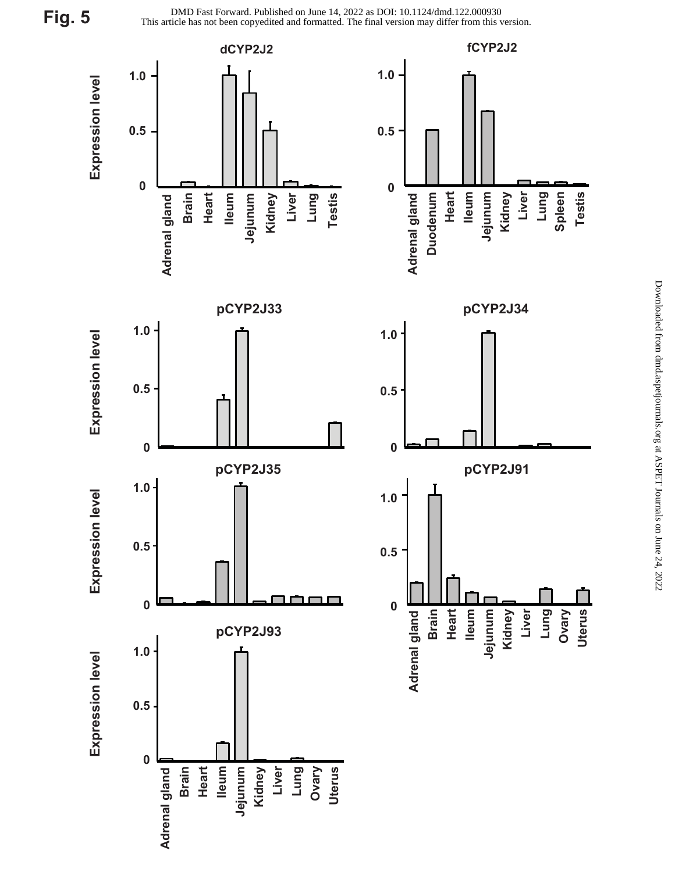**Fig. 5**

This article has not been copyedited and formatted. The final version may differ from this version. DMD Fast Forward. Published on June 14, 2022 as DOI: 10.1124/dmd.122.000930

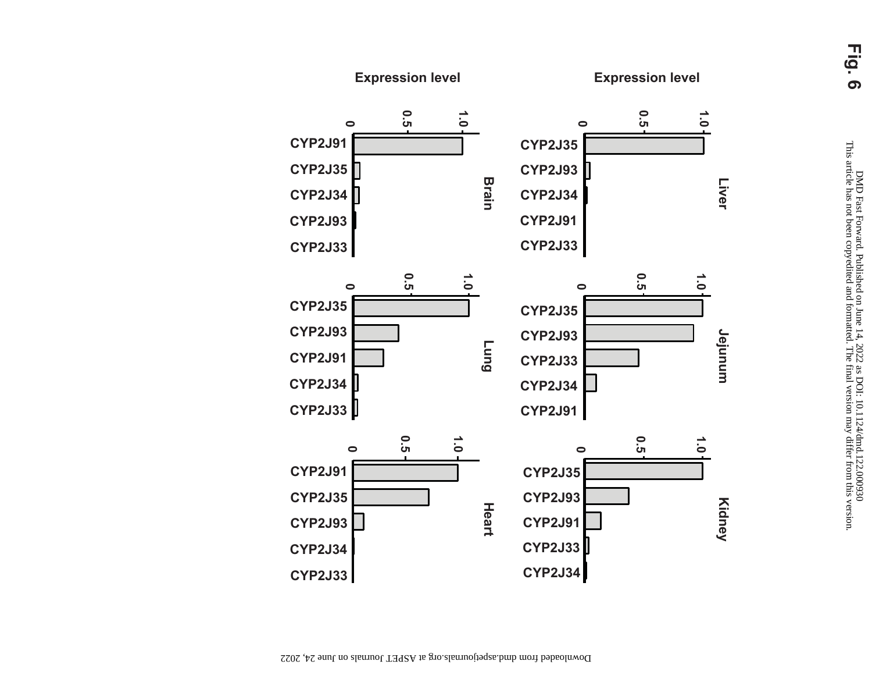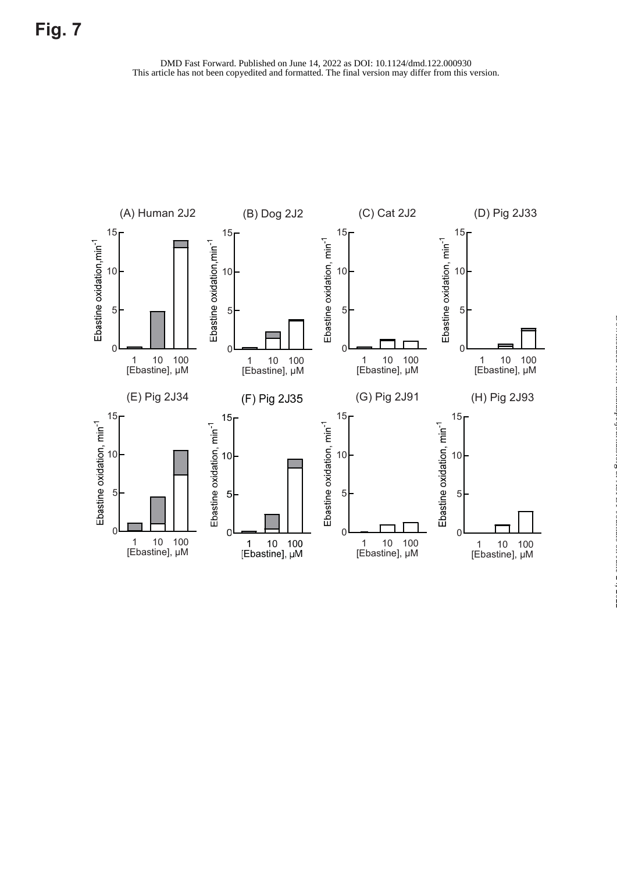

at ASPET Journals on June 24, 2022 [dmd.aspetjournals.org](http://dmd.aspetjournals.org/) Downloaded from